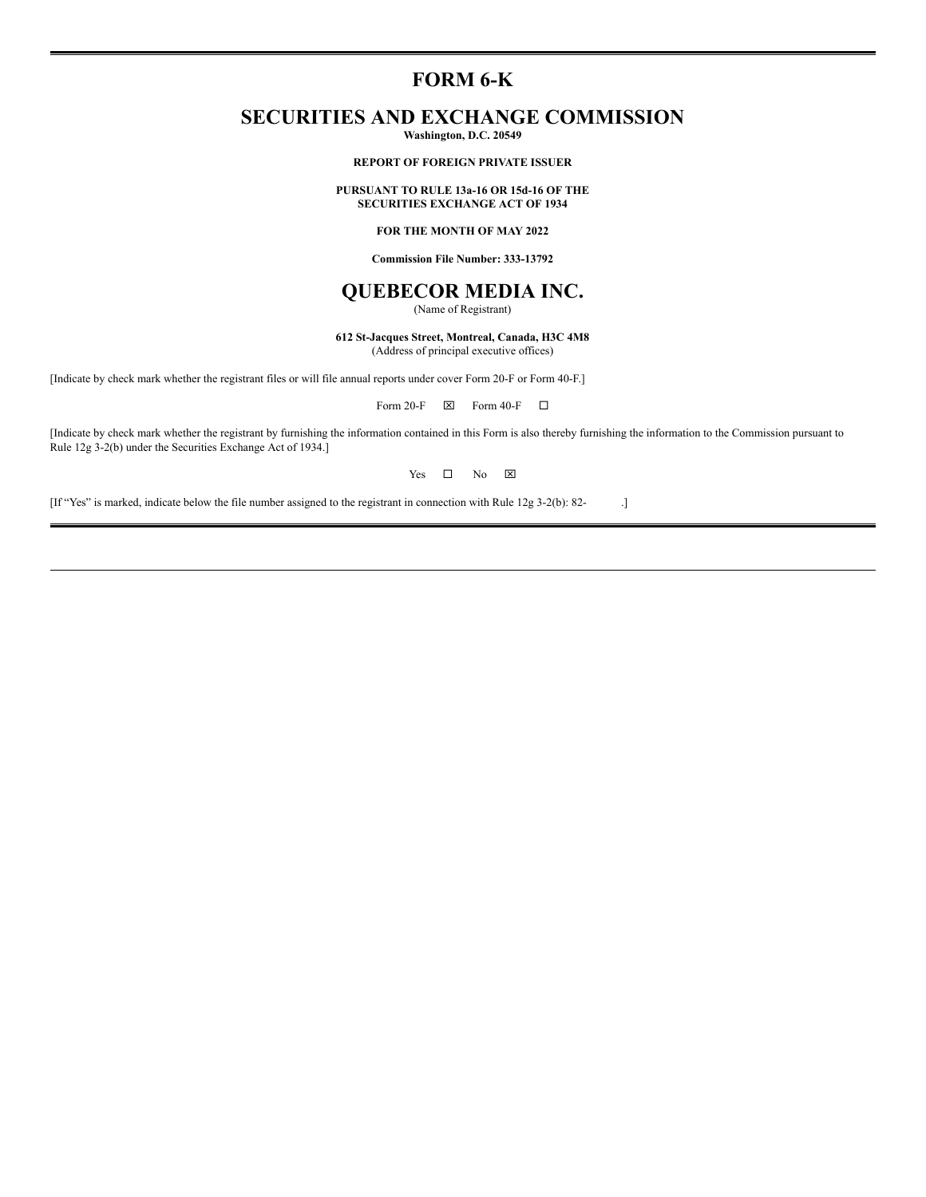# **FORM 6-K**

# **SECURITIES AND EXCHANGE COMMISSION**

**Washington, D.C. 20549**

#### **REPORT OF FOREIGN PRIVATE ISSUER**

#### **PURSUANT TO RULE 13a-16 OR 15d-16 OF THE SECURITIES EXCHANGE ACT OF 1934**

# **FOR THE MONTH OF MAY 2022**

**Commission File Number: 333-13792**

# **QUEBECOR MEDIA INC.**

(Name of Registrant)

**612 St-Jacques Street, Montreal, Canada, H3C 4M8** (Address of principal executive offices)

[Indicate by check mark whether the registrant files or will file annual reports under cover Form 20-F or Form 40-F.]

Form 20-F  $\boxtimes$  Form 40-F  $\Box$ 

[Indicate by check mark whether the registrant by furnishing the information contained in this Form is also thereby furnishing the information to the Commission pursuant to Rule 12g 3-2(b) under the Securities Exchange Act of 1934.]

Yes  $\square$  No  $\square$ 

[If "Yes" is marked, indicate below the file number assigned to the registrant in connection with Rule 12g 3-2(b): 82- .]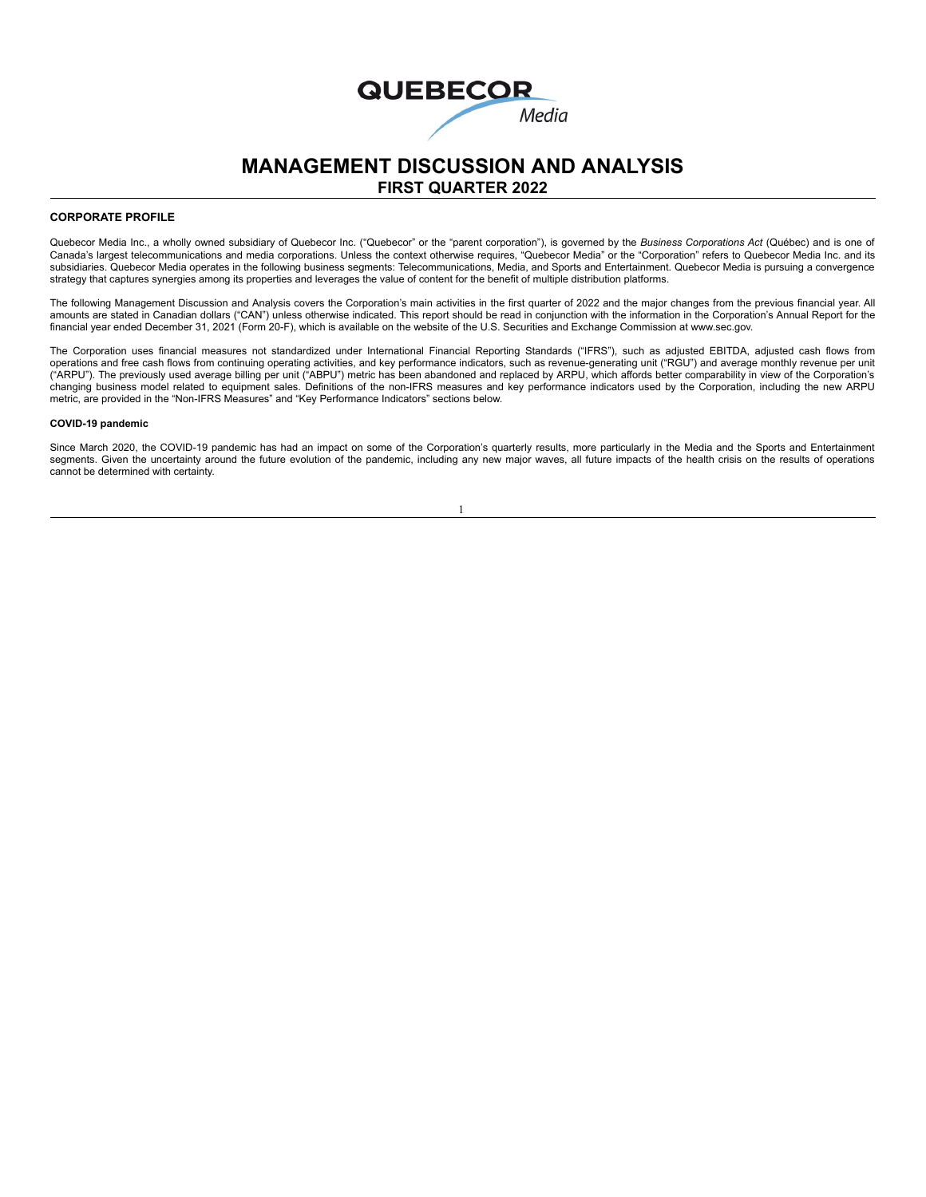# **QUEBECOR** Media

# **MANAGEMENT DISCUSSION AND ANALYSIS FIRST QUARTER 2022**

#### **CORPORATE PROFILE**

Quebecor Media Inc., a wholly owned subsidiary of Quebecor Inc. ("Quebecor" or the "parent corporation"), is governed by the *Business Corporations Act* (Québec) and is one of Canada's largest telecommunications and media corporations. Unless the context otherwise requires, "Quebecor Media" or the "Corporation" refers to Quebecor Media Inc. and its subsidiaries. Quebecor Media operates in the following business segments: Telecommunications, Media, and Sports and Entertainment. Quebecor Media is pursuing a convergence strategy that captures synergies among its properties and leverages the value of content for the benefit of multiple distribution platforms.

The following Management Discussion and Analysis covers the Corporation's main activities in the first quarter of 2022 and the major changes from the previous financial year. All amounts are stated in Canadian dollars ("CAN") unless otherwise indicated. This report should be read in conjunction with the information in the Corporation's Annual Report for the financial year ended December 31, 2021 (Form 20-F), which is available on the website of the U.S. Securities and Exchange Commission at www.sec.gov.

The Corporation uses financial measures not standardized under International Financial Reporting Standards ("IFRS"), such as adjusted EBITDA, adjusted cash flows from operations and free cash flows from continuing operating activities, and key performance indicators, such as revenue-generating unit ("RGU") and average monthly revenue per unit<br>("ARPU"). The previously used average billin changing business model related to equipment sales. Definitions of the non-IFRS measures and key performance indicators used by the Corporation, including the new ARPU metric, are provided in the "Non-IFRS Measures" and "Key Performance Indicators" sections below.

#### **COVID-19 pandemic**

Since March 2020, the COVID-19 pandemic has had an impact on some of the Corporation's quarterly results, more particularly in the Media and the Sports and Entertainment segments. Given the uncertainty around the future evolution of the pandemic, including any new major waves, all future impacts of the health crisis on the results of operations cannot be determined with certainty.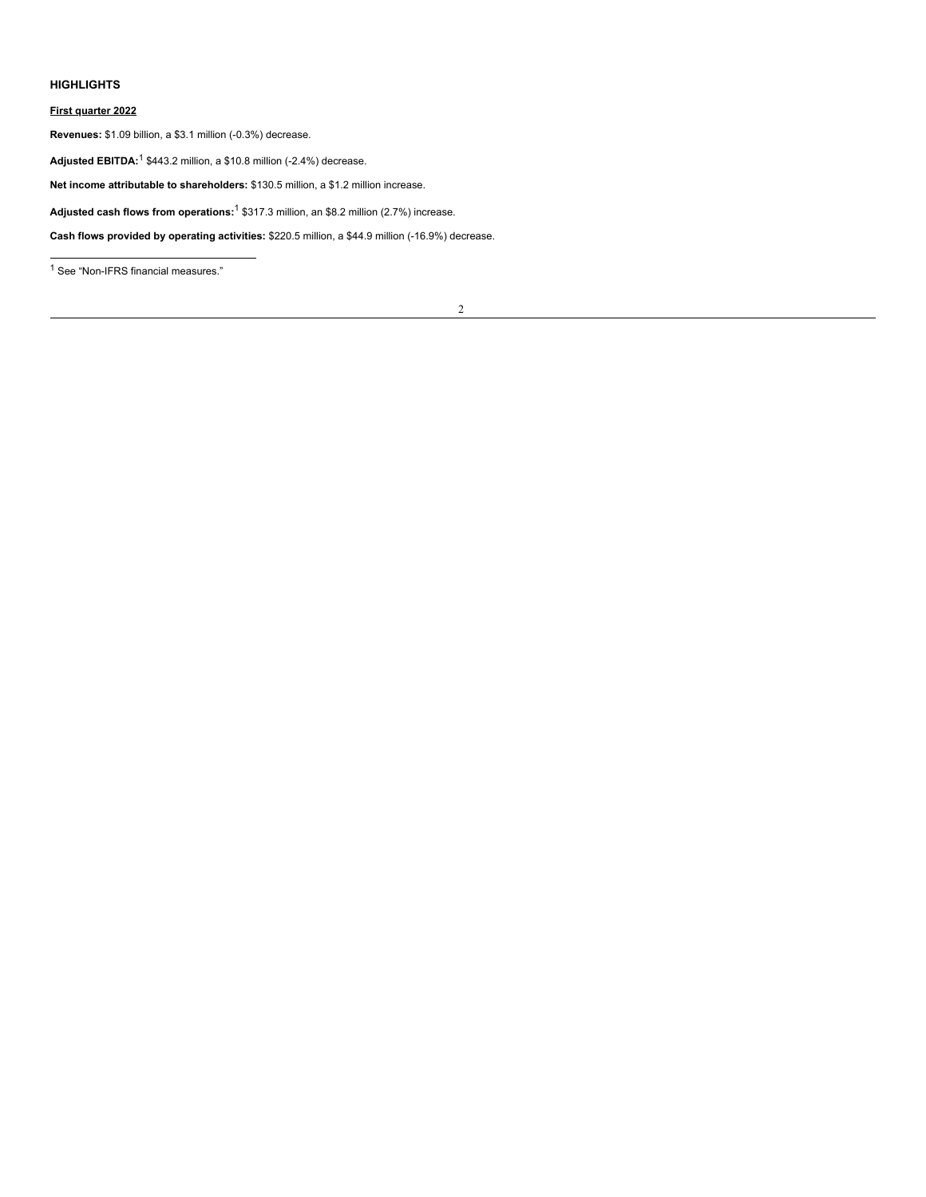#### **HIGHLIGHTS**

#### **First quarter 2022**

**Revenues:** \$1.09 billion, a \$3.1 million (-0.3%) decrease.

**Adjusted EBITDA:**<sup>1</sup> \$443.2 million, a \$10.8 million (-2.4%) decrease.

**Net income attributable to shareholders:** \$130.5 million, a \$1.2 million increase.

**Adjusted cash flows from operations:** <sup>1</sup> \$317.3 million, an \$8.2 million (2.7%) increase.

**Cash flows provided by operating activities:** \$220.5 million, a \$44.9 million (-16.9%) decrease.

<sup>1</sup> See "Non-IFRS financial measures."

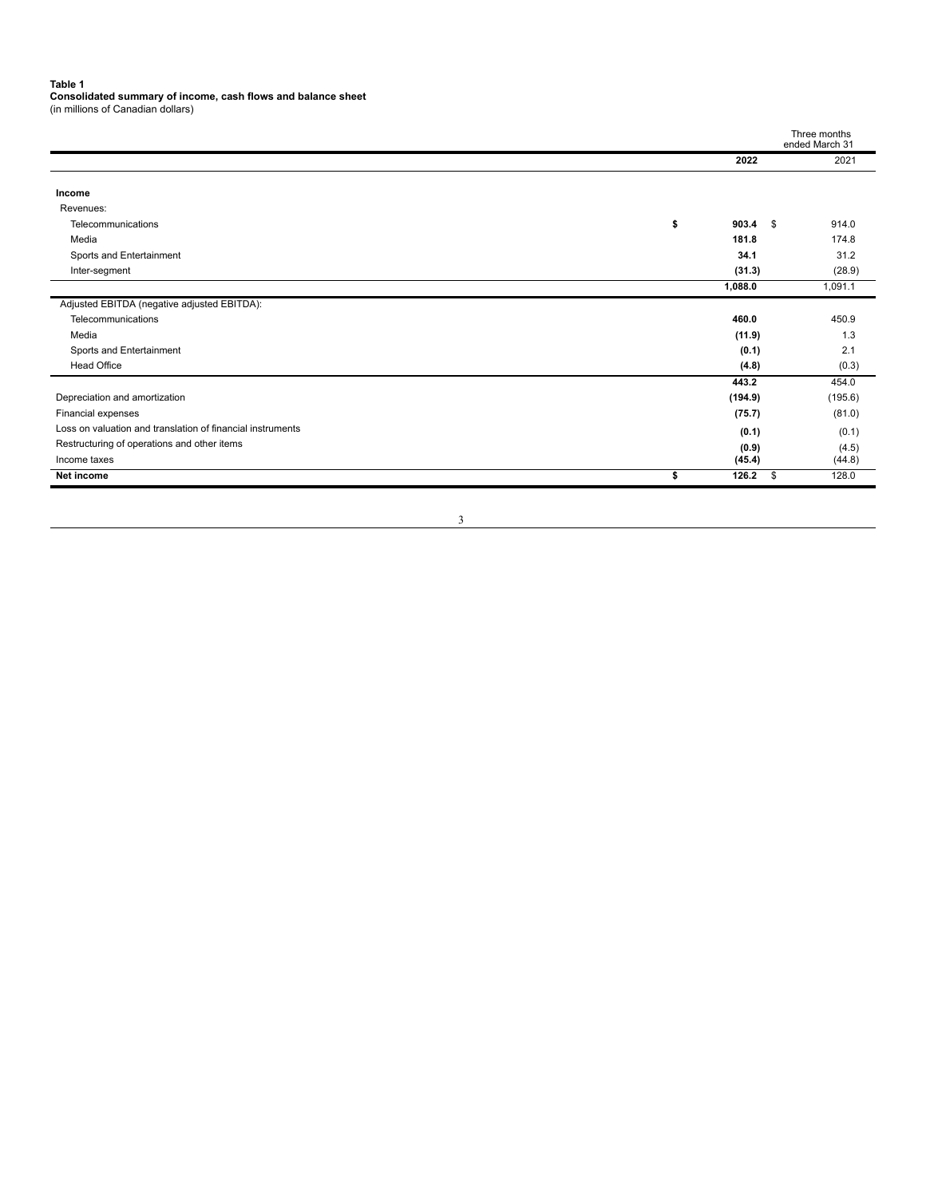**Table 1 Consolidated summary of income, cash flows and balance sheet** (in millions of Canadian dollars)

|                                                            |                   | Three months<br>ended March 31 |
|------------------------------------------------------------|-------------------|--------------------------------|
|                                                            | 2022              | 2021                           |
| Income                                                     |                   |                                |
| Revenues:                                                  |                   |                                |
| Telecommunications                                         | \$<br>$903.4$ \$  | 914.0                          |
| Media                                                      | 181.8             | 174.8                          |
| Sports and Entertainment                                   | 34.1              | 31.2                           |
| Inter-segment                                              | (31.3)            | (28.9)                         |
|                                                            | 1,088.0           | 1,091.1                        |
| Adjusted EBITDA (negative adjusted EBITDA):                |                   |                                |
| Telecommunications                                         | 460.0             | 450.9                          |
| Media                                                      | (11.9)            | 1.3                            |
| Sports and Entertainment                                   | (0.1)             | 2.1                            |
| <b>Head Office</b>                                         | (4.8)             | (0.3)                          |
|                                                            | 443.2             | 454.0                          |
| Depreciation and amortization                              | (194.9)           | (195.6)                        |
| Financial expenses                                         | (75.7)            | (81.0)                         |
| Loss on valuation and translation of financial instruments | (0.1)             | (0.1)                          |
| Restructuring of operations and other items                | (0.9)             | (4.5)                          |
| Income taxes                                               | (45.4)            | (44.8)                         |
| Net income                                                 | \$<br>126.2<br>\$ | 128.0                          |
|                                                            |                   |                                |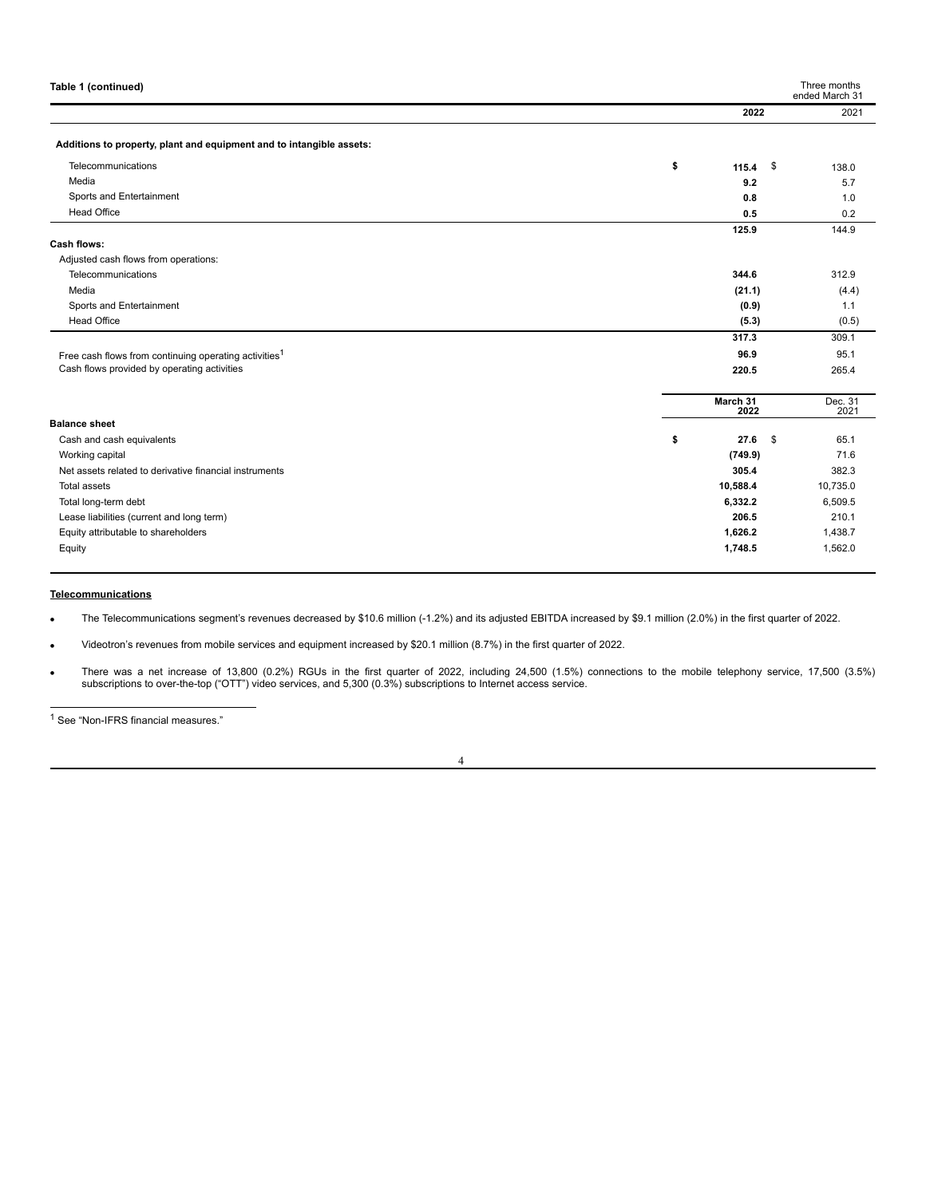| Table 1 (continued)                                                                                              |                   | Three months<br>ended March 31 |
|------------------------------------------------------------------------------------------------------------------|-------------------|--------------------------------|
|                                                                                                                  | 2022              | 2021                           |
| Additions to property, plant and equipment and to intangible assets:                                             |                   |                                |
| Telecommunications                                                                                               | \$<br>\$<br>115.4 | 138.0                          |
| Media                                                                                                            | 9.2               | 5.7                            |
| Sports and Entertainment                                                                                         | 0.8               | 1.0                            |
| <b>Head Office</b>                                                                                               | 0.5               | 0.2                            |
| <b>Cash flows:</b>                                                                                               | 125.9             | 144.9                          |
| Adjusted cash flows from operations:                                                                             |                   |                                |
| Telecommunications                                                                                               | 344.6             | 312.9                          |
| Media                                                                                                            | (21.1)            | (4.4)                          |
| Sports and Entertainment                                                                                         | (0.9)             | 1.1                            |
| <b>Head Office</b>                                                                                               | (5.3)             | (0.5)                          |
|                                                                                                                  | 317.3             | 309.1                          |
|                                                                                                                  |                   |                                |
| Free cash flows from continuing operating activities <sup>1</sup><br>Cash flows provided by operating activities | 96.9              | 95.1                           |
|                                                                                                                  | 220.5             | 265.4                          |
|                                                                                                                  | March 31<br>2022  | Dec. 31<br>2021                |
| <b>Balance sheet</b>                                                                                             |                   |                                |
| Cash and cash equivalents                                                                                        | \$<br>27.6<br>\$  | 65.1                           |
| Working capital                                                                                                  | (749.9)           | 71.6                           |
| Net assets related to derivative financial instruments                                                           | 305.4             | 382.3                          |
| <b>Total assets</b>                                                                                              | 10,588.4          | 10,735.0                       |
| Total long-term debt                                                                                             | 6,332.2           | 6,509.5                        |
| Lease liabilities (current and long term)                                                                        | 206.5             | 210.1                          |
| Equity attributable to shareholders                                                                              | 1,626.2           | 1,438.7                        |
| Equity                                                                                                           | 1,748.5           | 1,562.0                        |

#### **Telecommunications**

· The Telecommunications segment's revenues decreased by \$10.6 million (-1.2%) and its adjusted EBITDA increased by \$9.1 million (2.0%) in the first quarter of 2022.

· Videotron's revenues from mobile services and equipment increased by \$20.1 million (8.7%) in the first quarter of 2022.

There was a net increase of 13,800 (0.2%) RGUs in the first quarter of 2022, including 24,500 (1.5%) connections to the mobile telephony service, 17,500 (3.5%)<br>subscriptions to over-the-top ("OTT") video services, and 5,30

<sup>1</sup> See "Non-IFRS financial measures."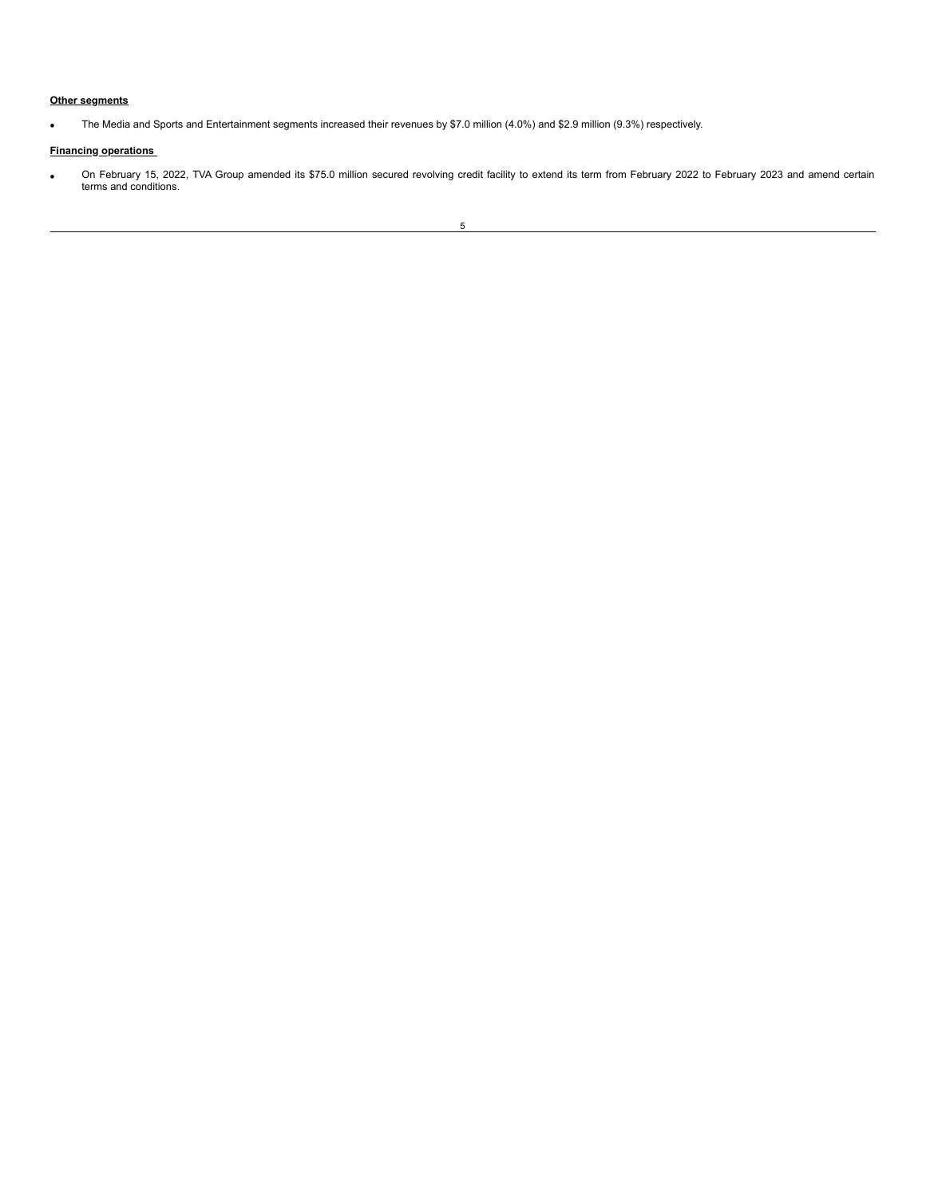## **Other segments**

· The Media and Sports and Entertainment segments increased their revenues by \$7.0 million (4.0%) and \$2.9 million (9.3%) respectively.

#### **Financing operations**

· On February 15, 2022, TVA Group amended its \$75.0 million secured revolving credit facility to extend its term from February 2022 to February 2023 and amend certain terms and conditions.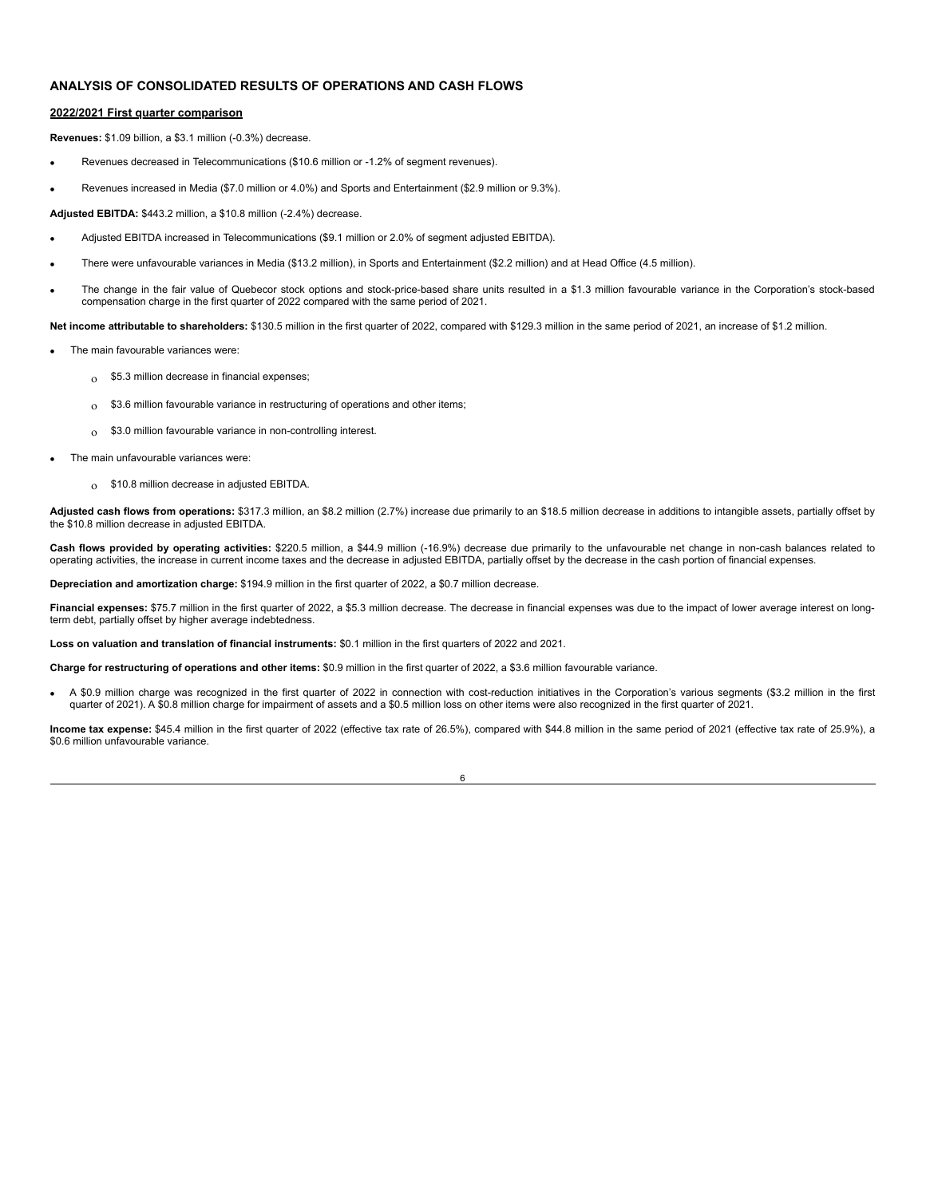# **ANALYSIS OF CONSOLIDATED RESULTS OF OPERATIONS AND CASH FLOWS**

#### **2022/2021 First quarter comparison**

**Revenues:** \$1.09 billion, a \$3.1 million (-0.3%) decrease.

- · Revenues decreased in Telecommunications (\$10.6 million or -1.2% of segment revenues).
- · Revenues increased in Media (\$7.0 million or 4.0%) and Sports and Entertainment (\$2.9 million or 9.3%).

**Adjusted EBITDA:** \$443.2 million, a \$10.8 million (-2.4%) decrease.

- · Adjusted EBITDA increased in Telecommunications (\$9.1 million or 2.0% of segment adjusted EBITDA).
- · There were unfavourable variances in Media (\$13.2 million), in Sports and Entertainment (\$2.2 million) and at Head Office (4.5 million).
- · The change in the fair value of Quebecor stock options and stock-price-based share units resulted in a \$1.3 million favourable variance in the Corporation's stock-based compensation charge in the first quarter of 2022 compared with the same period of 2021.

**Net income attributable to shareholders:** \$130.5 million in the first quarter of 2022, compared with \$129.3 million in the same period of 2021, an increase of \$1.2 million.

- The main favourable variances were:
	- $\delta$  \$5.3 million decrease in financial expenses;
	- o \$3.6 million favourable variance in restructuring of operations and other items;
	- <sup>o</sup> \$3.0 million favourable variance in non-controlling interest.
- The main unfavourable variances were:
	- o \$10.8 million decrease in adjusted EBITDA.

Adjusted cash flows from operations: \$317.3 million, an \$8.2 million (2.7%) increase due primarily to an \$18.5 million decrease in additions to intangible assets, partially offset by the \$10.8 million decrease in adjusted EBITDA.

**Cash flows provided by operating activities:** \$220.5 million, a \$44.9 million (-16.9%) decrease due primarily to the unfavourable net change in non-cash balances related to<br>operating activities, the increase in current in

**Depreciation and amortization charge:** \$194.9 million in the first quarter of 2022, a \$0.7 million decrease.

Financial expenses: \$75.7 million in the first quarter of 2022, a \$5.3 million decrease. The decrease in financial expenses was due to the impact of lower average interest on longterm debt, partially offset by higher average indebtedness.

**Loss on valuation and translation of financial instruments:** \$0.1 million in the first quarters of 2022 and 2021.

**Charge for restructuring of operations and other items:** \$0.9 million in the first quarter of 2022, a \$3.6 million favourable variance.

· A \$0.9 million charge was recognized in the first quarter of 2022 in connection with cost-reduction initiatives in the Corporation's various segments (\$3.2 million in the first quarter of 2021). A \$0.8 million charge for impairment of assets and a \$0.5 million loss on other items were also recognized in the first quarter of 2021.

**Income tax expense:** \$45.4 million in the first quarter of 2022 (effective tax rate of 26.5%), compared with \$44.8 million in the same period of 2021 (effective tax rate of 25.9%), a \$0.6 million unfavourable variance.

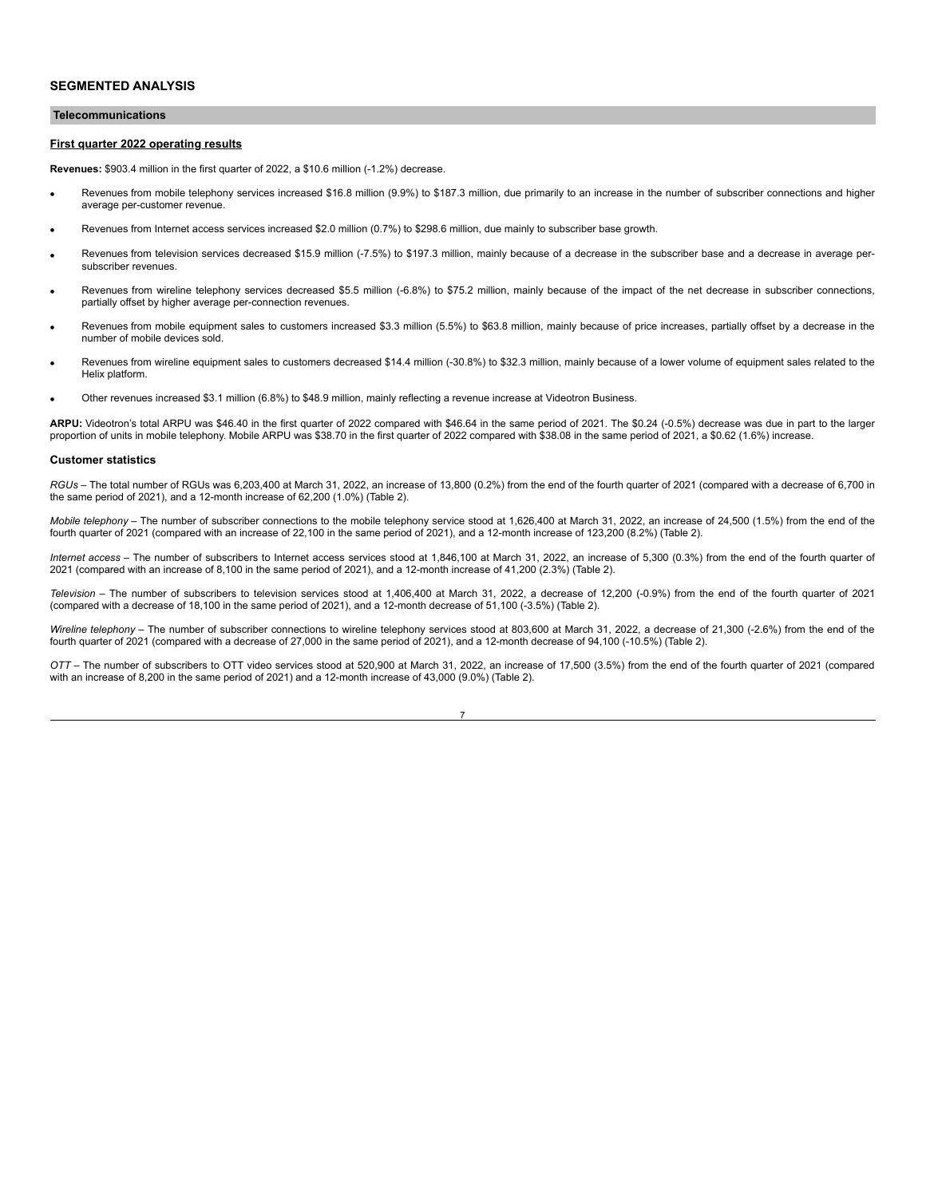#### **Telecommunications**

#### **First quarter 2022 operating results**

**Revenues:** \$903.4 million in the first quarter of 2022, a \$10.6 million (-1.2%) decrease.

- Revenues from mobile telephony services increased \$16.8 million (9.9%) to \$187.3 million, due primarily to an increase in the number of subscriber connections and higher average per-customer revenue.
- · Revenues from Internet access services increased \$2.0 million (0.7%) to \$298.6 million, due mainly to subscriber base growth.
- Revenues from television services decreased \$15.9 million (-7.5%) to \$197.3 million, mainly because of a decrease in the subscriber base and a decrease in average persubscriber revenues.
- Revenues from wireline telephony services decreased \$5.5 million (-6.8%) to \$75.2 million, mainly because of the impact of the net decrease in subscriber connections, partially offset by higher average per-connection revenues.
- Revenues from mobile equipment sales to customers increased \$3.3 million (5.5%) to \$63.8 million, mainly because of price increases, partially offset by a decrease in the number of mobile devices sold.
- Revenues from wireline equipment sales to customers decreased \$14.4 million (-30.8%) to \$32.3 million, mainly because of a lower volume of equipment sales related to the Helix platform.
- Other revenues increased \$3.1 million (6.8%) to \$48.9 million, mainly reflecting a revenue increase at Videotron Business.

**ARPU:** Videotron's total ARPU was \$46.40 in the first quarter of 2022 compared with \$46.64 in the same period of 2021. The \$0.24 (-0.5%) decrease was due in part to the larger proportion of units in mobile telephony. Mobile ARPU was \$38.70 in the first quarter of 2022 compared with \$38.08 in the same period of 2021, a \$0.62 (1.6%) increase.

#### **Customer statistics**

*RGUs –* The total number of RGUs was 6,203,400 at March 31, 2022, an increase of 13,800 (0.2%) from the end of the fourth quarter of 2021 (compared with a decrease of 6,700 in the same period of 2021), and a 12-month increase of 62,200 (1.0%) (Table 2).

*Mobile telephony –* The number of subscriber connections to the mobile telephony service stood at 1,626,400 at March 31, 2022, an increase of 24,500 (1.5%) from the end of the fourth quarter of 2021 (compared with an increase of 22,100 in the same period of 2021), and a 12-month increase of 123,200 (8.2%) (Table 2).

*Internet access –* The number of subscribers to Internet access services stood at 1,846,100 at March 31, 2022, an increase of 5,300 (0.3%) from the end of the fourth quarter of 2021 (compared with an increase of 8,100 in the same period of 2021), and a 12-month increase of 41,200 (2.3%) (Table 2).

*Television –* The number of subscribers to television services stood at 1,406,400 at March 31, 2022, a decrease of 12,200 (-0.9%) from the end of the fourth quarter of 2021 (compared with a decrease of 18,100 in the same period of 2021), and a 12-month decrease of 51,100 (-3.5%) (Table 2).

Wireline telephony - The number of subscriber connections to wireline telephony services stood at 803,600 at March 31, 2022, a decrease of 21,300 (-2.6%) from the end of the fourth quarter of 2021 (compared with a decrease of 27,000 in the same period of 2021), and a 12-month decrease of 94,100 (-10.5%) (Table 2).

*OTT –* The number of subscribers to OTT video services stood at 520,900 at March 31, 2022, an increase of 17,500 (3.5%) from the end of the fourth quarter of 2021 (compared with an increase of 8,200 in the same period of 2021) and a 12-month increase of 43,000 (9.0%) (Table 2).

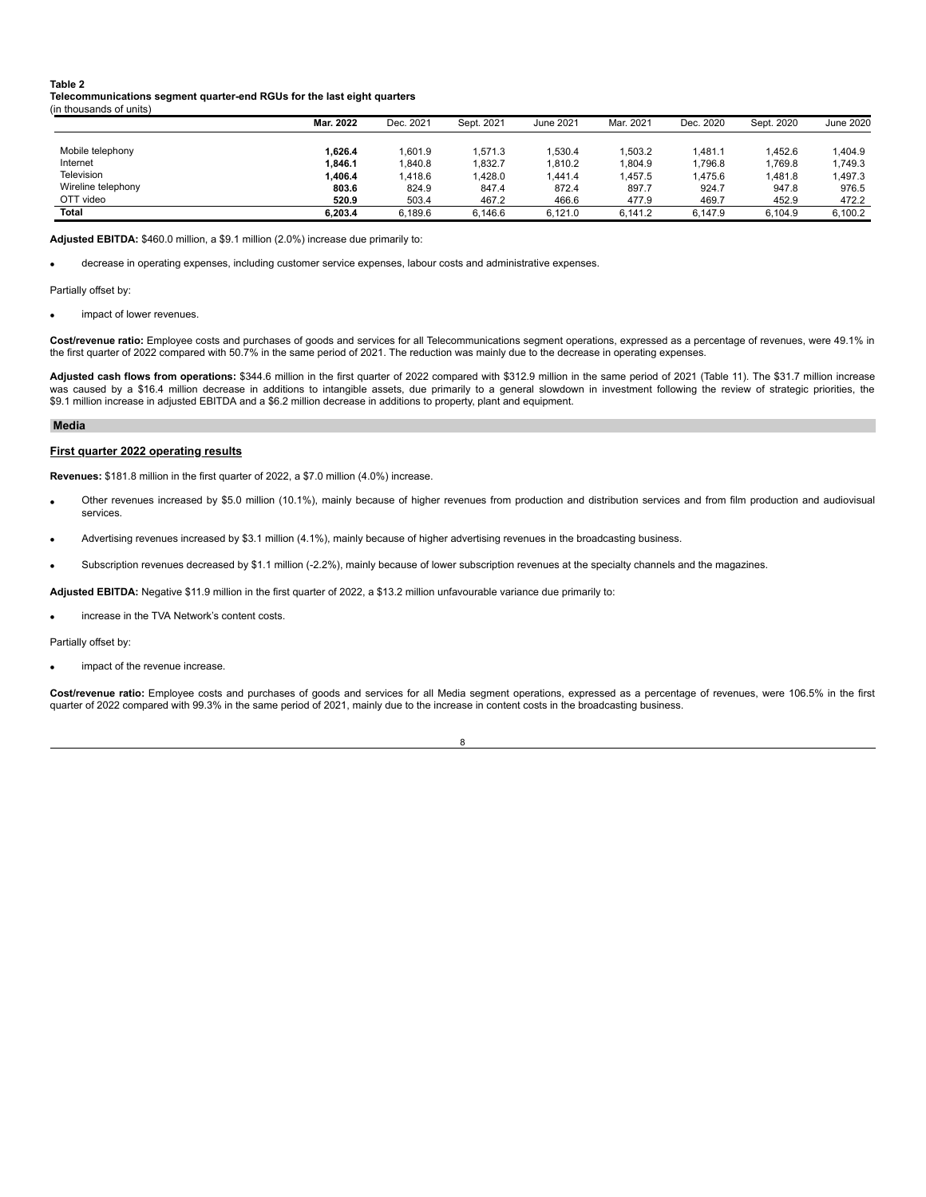#### **Table 2**

**Telecommunications segment quarter-end RGUs for the last eight quarters** (in thousands of units)

|                    | Mar. 2022 | Dec. 2021 | Sept. 2021 | June 2021 | Mar. 2021 | Dec. 2020 | Sept. 2020 | June 2020 |
|--------------------|-----------|-----------|------------|-----------|-----------|-----------|------------|-----------|
|                    |           |           |            |           |           |           |            |           |
| Mobile telephony   | 1.626.4   | 1.601.9   | .571.3     | 1.530.4   | .503.2    | .481.1    | 1.452.6    | 1.404.9   |
| Internet           | 1.846.1   | 1.840.8   | .832.7     | 1.810.2   | 1.804.9   | .796.8    | 1.769.8    | 1.749.3   |
| Television         | 1.406.4   | 1,418.6   | ,428.0     | 1.441.4   | ,457.5    | .475.6    | 1.481.8    | 1.497.3   |
| Wireline telephony | 803.6     | 824.9     | 847.4      | 872.4     | 897.7     | 924.7     | 947.8      | 976.5     |
| OTT video          | 520.9     | 503.4     | 467.2      | 466.6     | 477.9     | 469.7     | 452.9      | 472.2     |
| Total              | 6.203.4   | 6.189.6   | 6.146.6    | 6.121.0   | 6.141.2   | 6.147.9   | 6.104.9    | 6,100.2   |

**Adjusted EBITDA:** \$460.0 million, a \$9.1 million (2.0%) increase due primarily to:

decrease in operating expenses, including customer service expenses, labour costs and administrative expenses.

Partially offset by:

impact of lower revenues.

**Cost/revenue ratio:** Employee costs and purchases of goods and services for all Telecommunications segment operations, expressed as a percentage of revenues, were 49.1% in the first quarter of 2022 compared with 50.7% in the same period of 2021. The reduction was mainly due to the decrease in operating expenses.

**Adjusted cash flows from operations:** \$344.6 million in the first quarter of 2022 compared with \$312.9 million in the same period of 2021 (Table 11). The \$31.7 million increase was caused by a \$16.4 million decrease in additions to intangible assets, due primarily to a general slowdown in investment following the review of strategic priorities, the \$9.1 million increase in adjusted EBITDA and a \$6.2 million decrease in additions to property, plant and equipment.

#### **Media**

#### **First quarter 2022 operating results**

**Revenues:** \$181.8 million in the first quarter of 2022, a \$7.0 million (4.0%) increase.

- · Other revenues increased by \$5.0 million (10.1%), mainly because of higher revenues from production and distribution services and from film production and audiovisual services.
- Advertising revenues increased by \$3.1 million (4.1%), mainly because of higher advertising revenues in the broadcasting business.
- Subscription revenues decreased by \$1.1 million (-2.2%), mainly because of lower subscription revenues at the specialty channels and the magazines.

**Adjusted EBITDA:** Negative \$11.9 million in the first quarter of 2022, a \$13.2 million unfavourable variance due primarily to:

increase in the TVA Network's content costs.

Partially offset by:

impact of the revenue increase.

**Cost/revenue ratio:** Employee costs and purchases of goods and services for all Media segment operations, expressed as a percentage of revenues, were 106.5% in the first quarter of 2022 compared with 99.3% in the same period of 2021, mainly due to the increase in content costs in the broadcasting business.

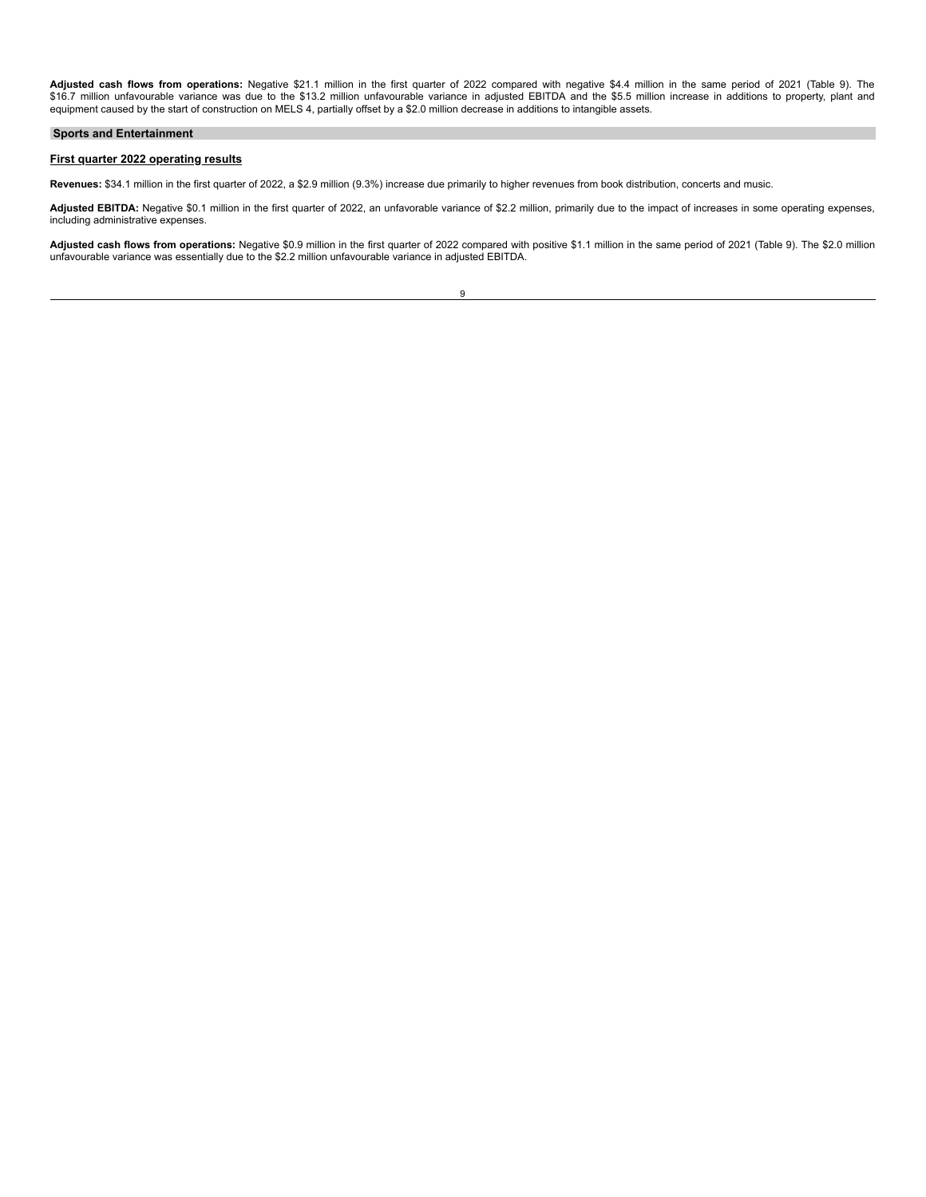**Adjusted cash flows from operations:** Negative \$21.1 million in the first quarter of 2022 compared with negative \$4.4 million in the same period of 2021 (Table 9). The<br>\$16.7 million unfavourable variance was due to the \$1

#### **Sports and Entertainment**

#### **First quarter 2022 operating results**

**Revenues:** \$34.1 million in the first quarter of 2022, a \$2.9 million (9.3%) increase due primarily to higher revenues from book distribution, concerts and music.

Adjusted EBITDA: Negative \$0.1 million in the first quarter of 2022, an unfavorable variance of \$2.2 million, primarily due to the impact of increases in some operating expenses, including administrative expenses.

**Adjusted cash flows from operations:** Negative \$0.9 million in the first quarter of 2022 compared with positive \$1.1 million in the same period of 2021 (Table 9). The \$2.0 million unfavourable variance was essentially due to the \$2.2 million unfavourable variance in adjusted EBITDA.

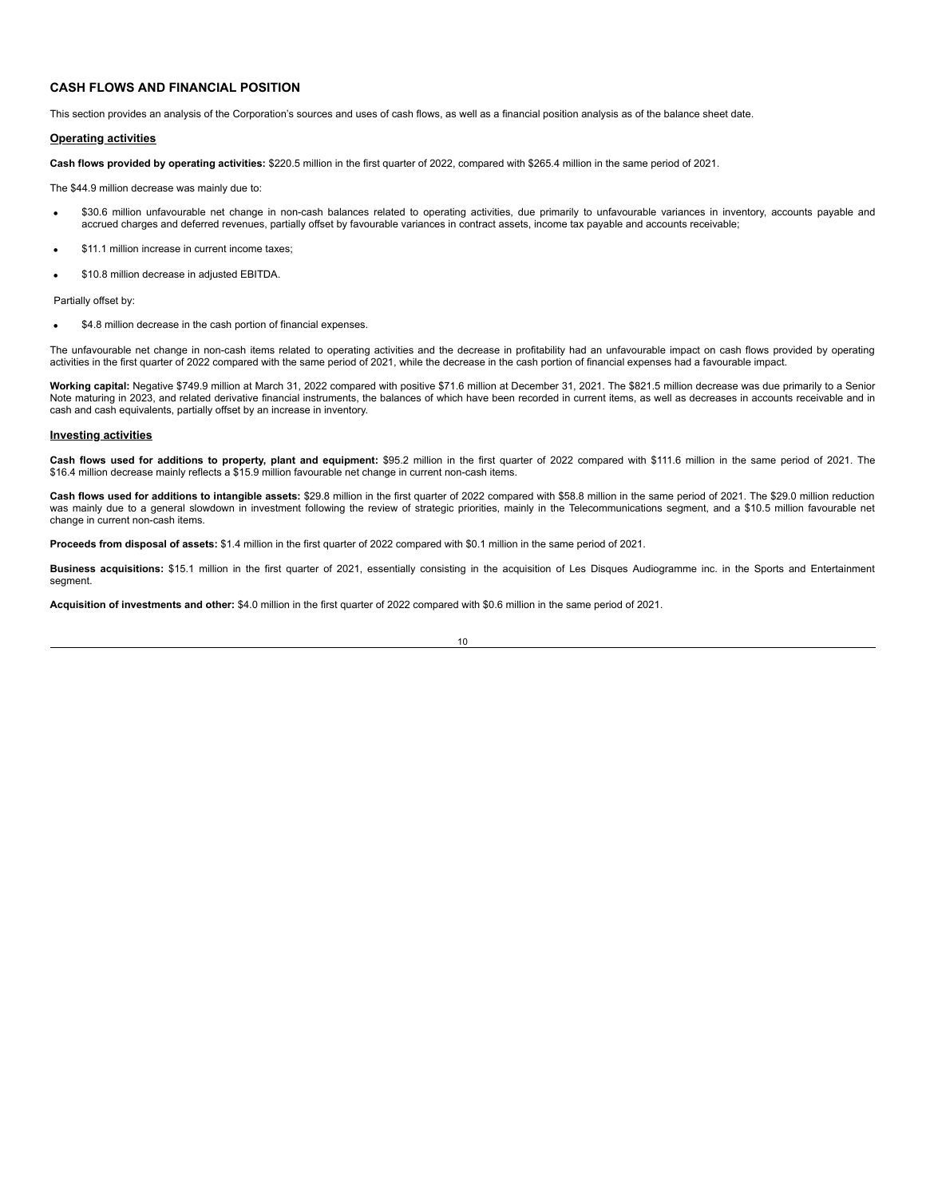#### **CASH FLOWS AND FINANCIAL POSITION**

This section provides an analysis of the Corporation's sources and uses of cash flows, as well as a financial position analysis as of the balance sheet date.

#### **Operating activities**

**Cash flows provided by operating activities:** \$220.5 million in the first quarter of 2022, compared with \$265.4 million in the same period of 2021.

The \$44.9 million decrease was mainly due to:

- \$30.6 million unfavourable net change in non-cash balances related to operating activities, due primarily to unfavourable variances in inventory, accounts payable and accrued charges and deferred revenues, partially offset by favourable variances in contract assets, income tax payable and accounts receivable;
- \$11.1 million increase in current income taxes:
- · \$10.8 million decrease in adjusted EBITDA.

Partially offset by:

\$4.8 million decrease in the cash portion of financial expenses.

The unfavourable net change in non-cash items related to operating activities and the decrease in profitability had an unfavourable impact on cash flows provided by operating activities in the first quarter of 2022 compared with the same period of 2021, while the decrease in the cash portion of financial expenses had a favourable impact.

**Working capital:** Negative \$749.9 million at March 31, 2022 compared with positive \$71.6 million at December 31, 2021. The \$821.5 million decrease was due primarily to a Senior Note maturing in 2023, and related derivative financial instruments, the balances of which have been recorded in current items, as well as decreases in accounts receivable and in cash and cash equivalents, partially offset by an increase in inventory.

#### **Investing activities**

**Cash flows used for additions to property, plant and equipment:** \$95.2 million in the first quarter of 2022 compared with \$111.6 million in the same period of 2021. The \$16.4 million decrease mainly reflects a \$15.9 million favourable net change in current non-cash items.

**Cash flows used for additions to intangible assets:** \$29.8 million in the first quarter of 2022 compared with \$58.8 million in the same period of 2021. The \$29.0 million reduction was mainly due to a general slowdown in investment following the review of strategic priorities, mainly in the Telecommunications segment, and a \$10.5 million favourable net change in current non-cash items.

**Proceeds from disposal of assets:** \$1.4 million in the first quarter of 2022 compared with \$0.1 million in the same period of 2021.

**Business acquisitions:** \$15.1 million in the first quarter of 2021, essentially consisting in the acquisition of Les Disques Audiogramme inc. in the Sports and Entertainment segment.

**Acquisition of investments and other:** \$4.0 million in the first quarter of 2022 compared with \$0.6 million in the same period of 2021.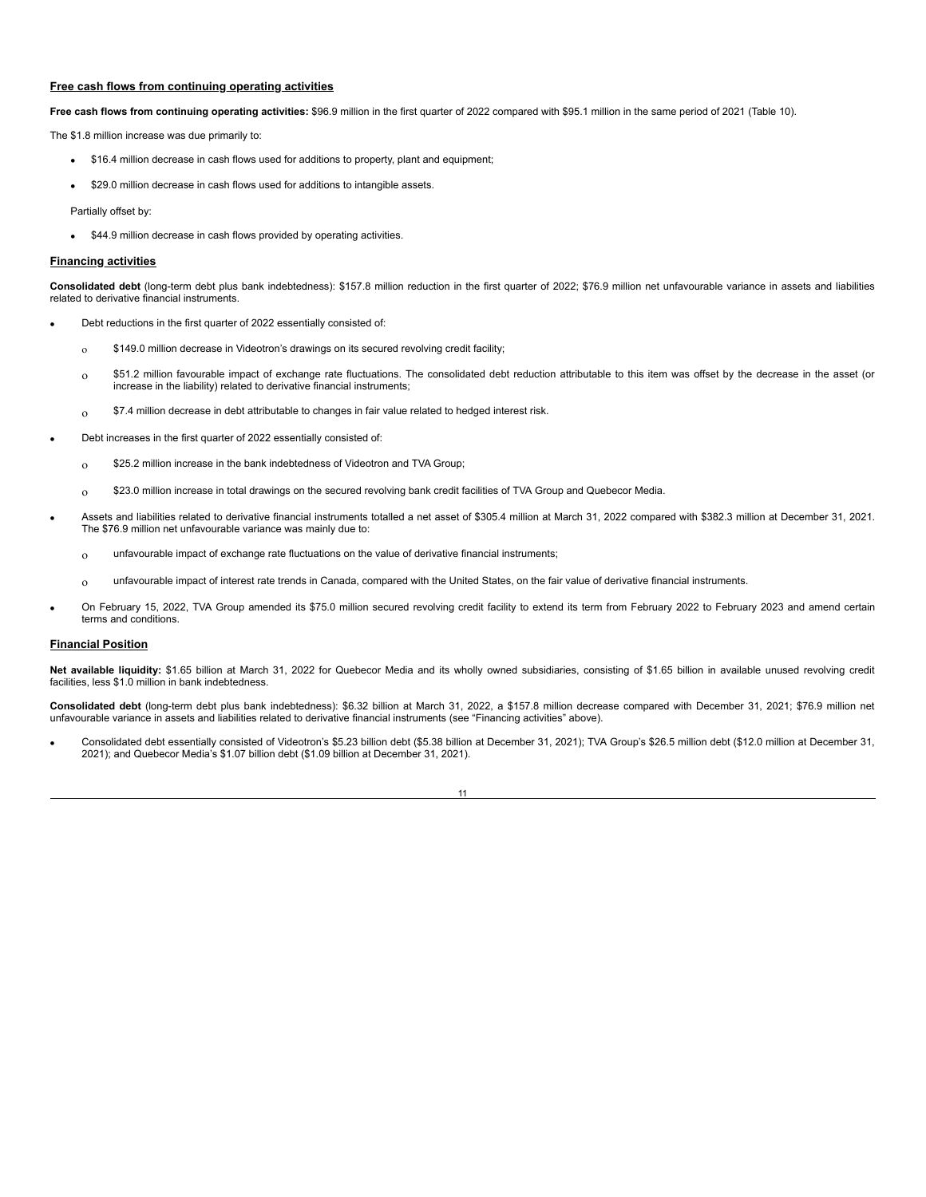#### **Free cash flows from continuing operating activities**

**Free cash flows from continuing operating activities:** \$96.9 million in the first quarter of 2022 compared with \$95.1 million in the same period of 2021 (Table 10).

The \$1.8 million increase was due primarily to:

- · \$16.4 million decrease in cash flows used for additions to property, plant and equipment;
- \$29.0 million decrease in cash flows used for additions to intangible assets.

Partially offset by:

\$44.9 million decrease in cash flows provided by operating activities.

#### **Financing activities**

**Consolidated debt** (long-term debt plus bank indebtedness): \$157.8 million reduction in the first quarter of 2022; \$76.9 million net unfavourable variance in assets and liabilities related to derivative financial instruments.

- Debt reductions in the first quarter of 2022 essentially consisted of:
	- $\delta$  \$149.0 million decrease in Videotron's drawings on its secured revolving credit facility;
	- $_{0}$  \$51.2 million favourable impact of exchange rate fluctuations. The consolidated debt reduction attributable to this item was offset by the decrease in the asset (or increase in the liability) related to derivative financial instruments;
	- $_{\rm O}$  \$7.4 million decrease in debt attributable to changes in fair value related to hedged interest risk.
- Debt increases in the first quarter of 2022 essentially consisted of:
	- $_{0}$  \$25.2 million increase in the bank indebtedness of Videotron and TVA Group;
	- $_0$  \$23.0 million increase in total drawings on the secured revolving bank credit facilities of TVA Group and Quebecor Media.
- · Assets and liabilities related to derivative financial instruments totalled a net asset of \$305.4 million at March 31, 2022 compared with \$382.3 million at December 31, 2021. The \$76.9 million net unfavourable variance was mainly due to:
	- $_{\text{O}}$  unfavourable impact of exchange rate fluctuations on the value of derivative financial instruments;
	- $_{0}$  unfavourable impact of interest rate trends in Canada, compared with the United States, on the fair value of derivative financial instruments.
- · On February 15, 2022, TVA Group amended its \$75.0 million secured revolving credit facility to extend its term from February 2022 to February 2023 and amend certain terms and conditions.

#### **Financial Position**

**Net available liquidity:** \$1.65 billion at March 31, 2022 for Quebecor Media and its wholly owned subsidiaries, consisting of \$1.65 billion in available unused revolving credit facilities, less \$1.0 million in bank indebtedness.

**Consolidated debt** (long-term debt plus bank indebtedness): \$6.32 billion at March 31, 2022, a \$157.8 million decrease compared with December 31, 2021; \$76.9 million net unfavourable variance in assets and liabilities related to derivative financial instruments (see "Financing activities" above).

· Consolidated debt essentially consisted of Videotron's \$5.23 billion debt (\$5.38 billion at December 31, 2021); TVA Group's \$26.5 million debt (\$12.0 million at December 31, 2021); and Quebecor Media's \$1.07 billion debt (\$1.09 billion at December 31, 2021).

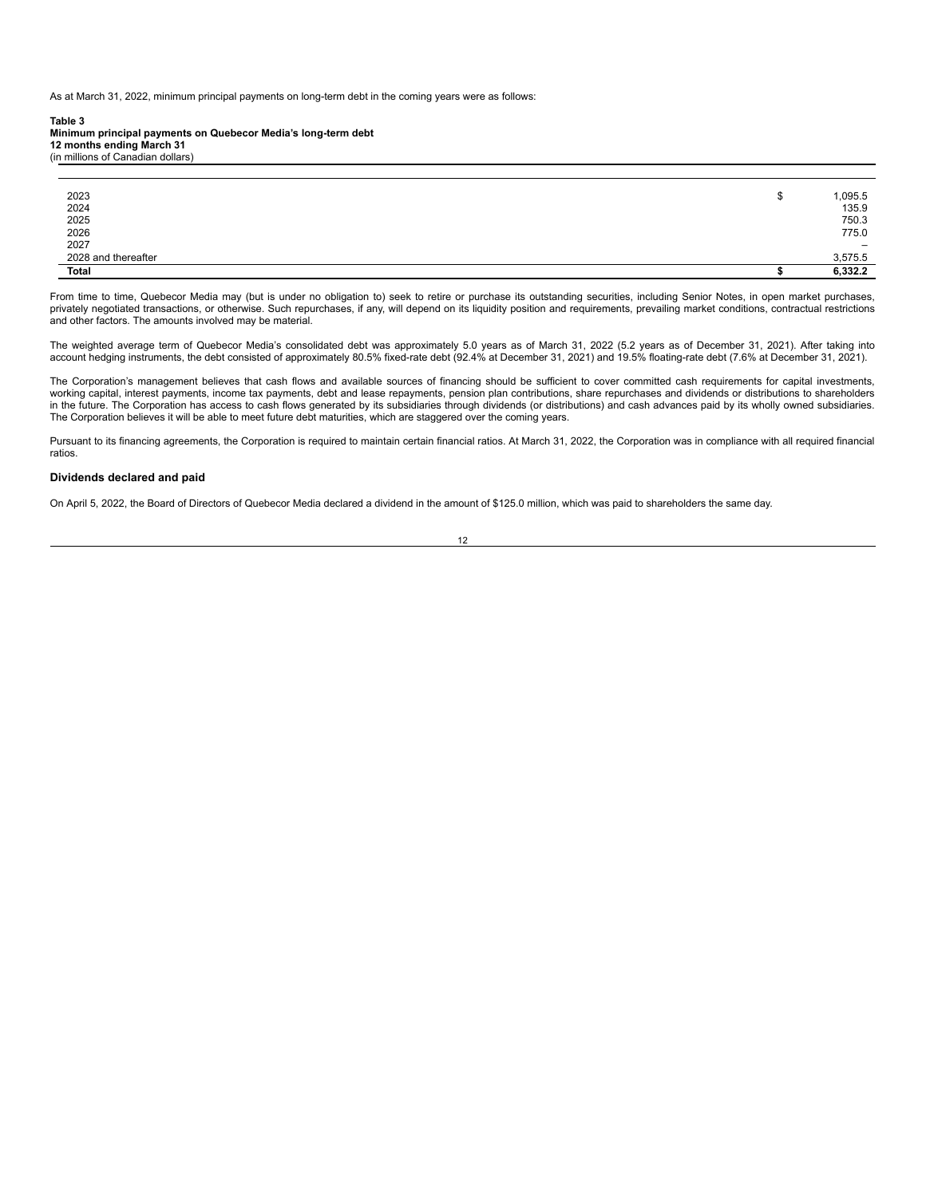As at March 31, 2022, minimum principal payments on long-term debt in the coming years were as follows:

#### **Table 3**

**Minimum principal payments on Quebecor Media's long-term debt 12 months ending March 31**

(in millions of Canadian dollars)

| 2023<br>2024<br>2025<br>2026<br>2027 | 1,095.5<br>135.9<br>750.3<br>775.0 |
|--------------------------------------|------------------------------------|
|                                      | $\overline{\phantom{0}}$           |
| 2028 and thereafter                  | 3,575.5                            |
| Total                                | 6,332.2                            |

From time to time, Quebecor Media may (but is under no obligation to) seek to retire or purchase its outstanding securities, including Senior Notes, in open market purchases, privately negotiated transactions, or otherwise. Such repurchases, if any, will depend on its liquidity position and requirements, prevailing market conditions, contractual restrictions and other factors. The amounts involved may be material.

The weighted average term of Quebecor Media's consolidated debt was approximately 5.0 years as of March 31, 2022 (5.2 years as of December 31, 2021). After taking into<br>account hedging instruments, the debt consisted of app

The Corporation's management believes that cash flows and available sources of financing should be sufficient to cover committed cash requirements for capital investments, working capital, interest payments, income tax payments, debt and lease repayments, pension plan contributions, share repurchases and dividends or distributions to shareholders in the future. The Corporation has access to cash flows generated by its subsidiaries through dividends (or distributions) and cash advances paid by its wholly owned subsidiaries. The Corporation believes it will be able to meet future debt maturities, which are staggered over the coming years.

Pursuant to its financing agreements, the Corporation is required to maintain certain financial ratios. At March 31, 2022, the Corporation was in compliance with all required financial ratios.

#### **Dividends declared and paid**

On April 5, 2022, the Board of Directors of Quebecor Media declared a dividend in the amount of \$125.0 million, which was paid to shareholders the same day.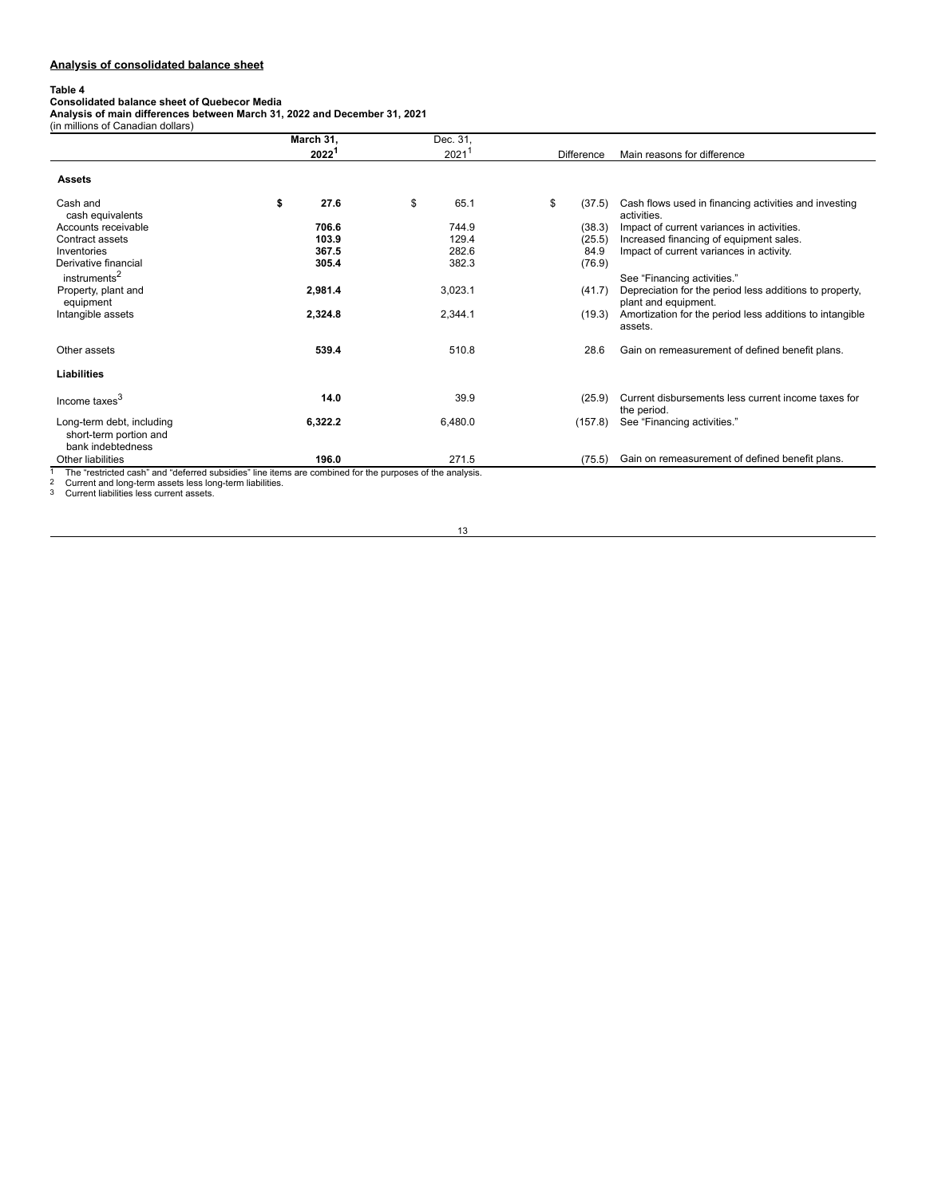# **Analysis of consolidated balance sheet**

**Table 4 Consolidated balance sheet of Quebecor Media Analysis of main differences between March 31, 2022 and December 31, 2021** (in millions of Canadian dollars)

|                                                                                                          | March 31,         | Dec. 31,   |                   |                                                                                 |
|----------------------------------------------------------------------------------------------------------|-------------------|------------|-------------------|---------------------------------------------------------------------------------|
|                                                                                                          | 2022 <sup>1</sup> | $2021^{7}$ | <b>Difference</b> | Main reasons for difference                                                     |
| <b>Assets</b>                                                                                            |                   |            |                   |                                                                                 |
| Cash and<br>cash equivalents                                                                             | \$<br>27.6        | \$<br>65.1 | \$<br>(37.5)      | Cash flows used in financing activities and investing<br>activities.            |
| Accounts receivable                                                                                      | 706.6             | 744.9      | (38.3)            | Impact of current variances in activities.                                      |
| Contract assets                                                                                          | 103.9             | 129.4      | (25.5)            | Increased financing of equipment sales.                                         |
| Inventories                                                                                              | 367.5             | 282.6      | 84.9              | Impact of current variances in activity.                                        |
| Derivative financial<br>instruments <sup>2</sup>                                                         | 305.4             | 382.3      | (76.9)            | See "Financing activities."                                                     |
| Property, plant and<br>equipment                                                                         | 2,981.4           | 3,023.1    | (41.7)            | Depreciation for the period less additions to property,<br>plant and equipment. |
| Intangible assets                                                                                        | 2,324.8           | 2,344.1    | (19.3)            | Amortization for the period less additions to intangible<br>assets.             |
| Other assets                                                                                             | 539.4             | 510.8      | 28.6              | Gain on remeasurement of defined benefit plans.                                 |
| Liabilities                                                                                              |                   |            |                   |                                                                                 |
| Income taxes <sup>3</sup>                                                                                | 14.0              | 39.9       | (25.9)            | Current disbursements less current income taxes for<br>the period.              |
| Long-term debt, including<br>short-term portion and<br>bank indebtedness                                 | 6,322.2           | 6,480.0    | (157.8)           | See "Financing activities."                                                     |
| Other liabilities                                                                                        | 196.0             | 271.5      | (75.5)            | Gain on remeasurement of defined benefit plans.                                 |
| The "restricted cash" and "deferred subsidies" line items are combined for the purposes of the analysis. |                   |            |                   |                                                                                 |

1 The "restricted cash" and "deferred subsidies" line items are combined for the purposes of the analysis.<br>2 Current and long-term assets less long-term liabilities.<br>3 Current liabilities less current assets.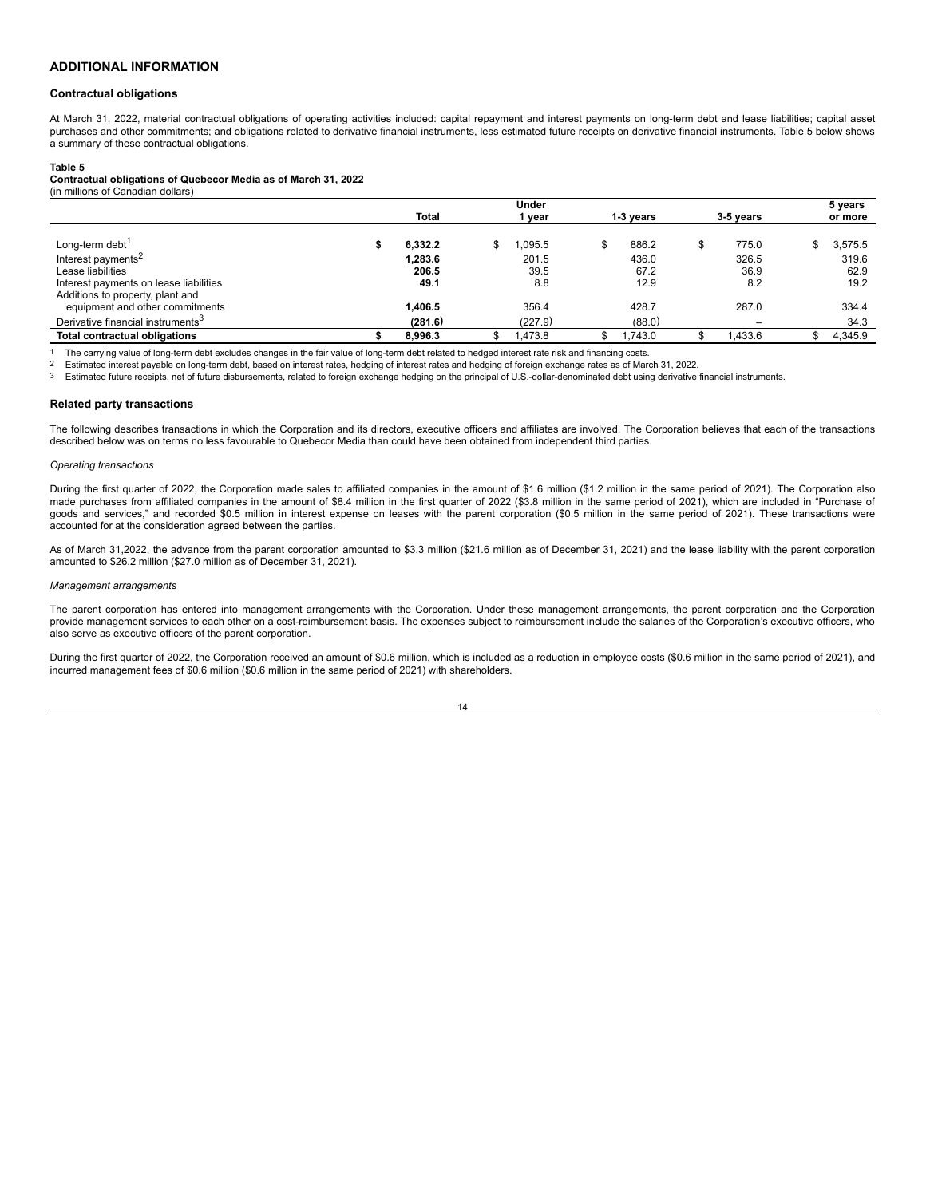# **ADDITIONAL INFORMATION**

#### **Contractual obligations**

At March 31, 2022, material contractual obligations of operating activities included: capital repayment and interest payments on long-term debt and lease liabilities; capital asset purchases and other commitments; and obligations related to derivative financial instruments, less estimated future receipts on derivative financial instruments. Table 5 below shows a summary of these contractual obligations.

#### **Table 5**

#### **Contractual obligations of Quebecor Media as of March 31, 2022**

| (in millions of Canadian dollars)             |         |  |         |  |           |  |                          |    |         |
|-----------------------------------------------|---------|--|---------|--|-----------|--|--------------------------|----|---------|
|                                               |         |  | Under   |  |           |  |                          |    | 5 years |
|                                               | Total   |  | year    |  | 1-3 vears |  | 3-5 vears                |    | or more |
| Long-term debt <sup>1</sup>                   | 6.332.2 |  | .095.5  |  | 886.2     |  | 775.0                    | \$ | 3,575.5 |
| Interest payments <sup>2</sup>                | 1.283.6 |  | 201.5   |  | 436.0     |  | 326.5                    |    | 319.6   |
| Lease liabilities                             | 206.5   |  | 39.5    |  | 67.2      |  | 36.9                     |    | 62.9    |
| Interest payments on lease liabilities        | 49.1    |  | 8.8     |  | 12.9      |  | 8.2                      |    | 19.2    |
| Additions to property, plant and              |         |  |         |  |           |  |                          |    |         |
| equipment and other commitments               | 1,406.5 |  | 356.4   |  | 428.7     |  | 287.0                    |    | 334.4   |
| Derivative financial instruments <sup>3</sup> | (281.6) |  | (227.9) |  | (88.0)    |  | $\overline{\phantom{m}}$ |    | 34.3    |
| <b>Total contractual obligations</b>          | 8.996.3 |  | .473.8  |  | .743.0    |  | 1.433.6                  | S  | 4.345.9 |

1 The carrying value of long-term debt excludes changes in the fair value of long-term debt related to hedged interest rate risk and financing costs.<br>2 Estimated interest pavable on long-term debt, based on interest rates,

2 Estimated interest payable on long-term debt, based on interest rates, hedging of interest rates and hedging of foreign exchange rates as of March 31, 2022.

3 Estimated future receipts, net of future disbursements, related to foreign exchange hedging on the principal of U.S.-dollar-denominated debt using derivative financial instruments.

#### **Related party transactions**

The following describes transactions in which the Corporation and its directors, executive officers and affiliates are involved. The Corporation believes that each of the transactions described below was on terms no less favourable to Quebecor Media than could have been obtained from independent third parties.

#### *Operating transactions*

During the first quarter of 2022, the Corporation made sales to affiliated companies in the amount of \$1.6 million (\$1.2 million in the same period of 2021). The Corporation also made purchases from affiliated companies in the amount of \$8.4 million in the first quarter of 2022 (\$3.8 million in the same period of 2021), which are included in "Purchase of goods and services," and recorded \$0.5 million in interest expense on leases with the parent corporation (\$0.5 million in the same period of 2021). These transactions were accounted for at the consideration agreed between the parties.

As of March 31,2022, the advance from the parent corporation amounted to \$3.3 million (\$21.6 million as of December 31, 2021) and the lease liability with the parent corporation amounted to \$26.2 million (\$27.0 million as of December 31, 2021).

#### *Management arrangements*

The parent corporation has entered into management arrangements with the Corporation. Under these management arrangements, the parent corporation and the Corporation provide management services to each other on a cost-reimbursement basis. The expenses subject to reimbursement include the salaries of the Corporation's executive officers, who also serve as executive officers of the parent corporation.

During the first quarter of 2022, the Corporation received an amount of \$0.6 million, which is included as a reduction in employee costs (\$0.6 million in the same period of 2021), and incurred management fees of \$0.6 million (\$0.6 million in the same period of 2021) with shareholders.

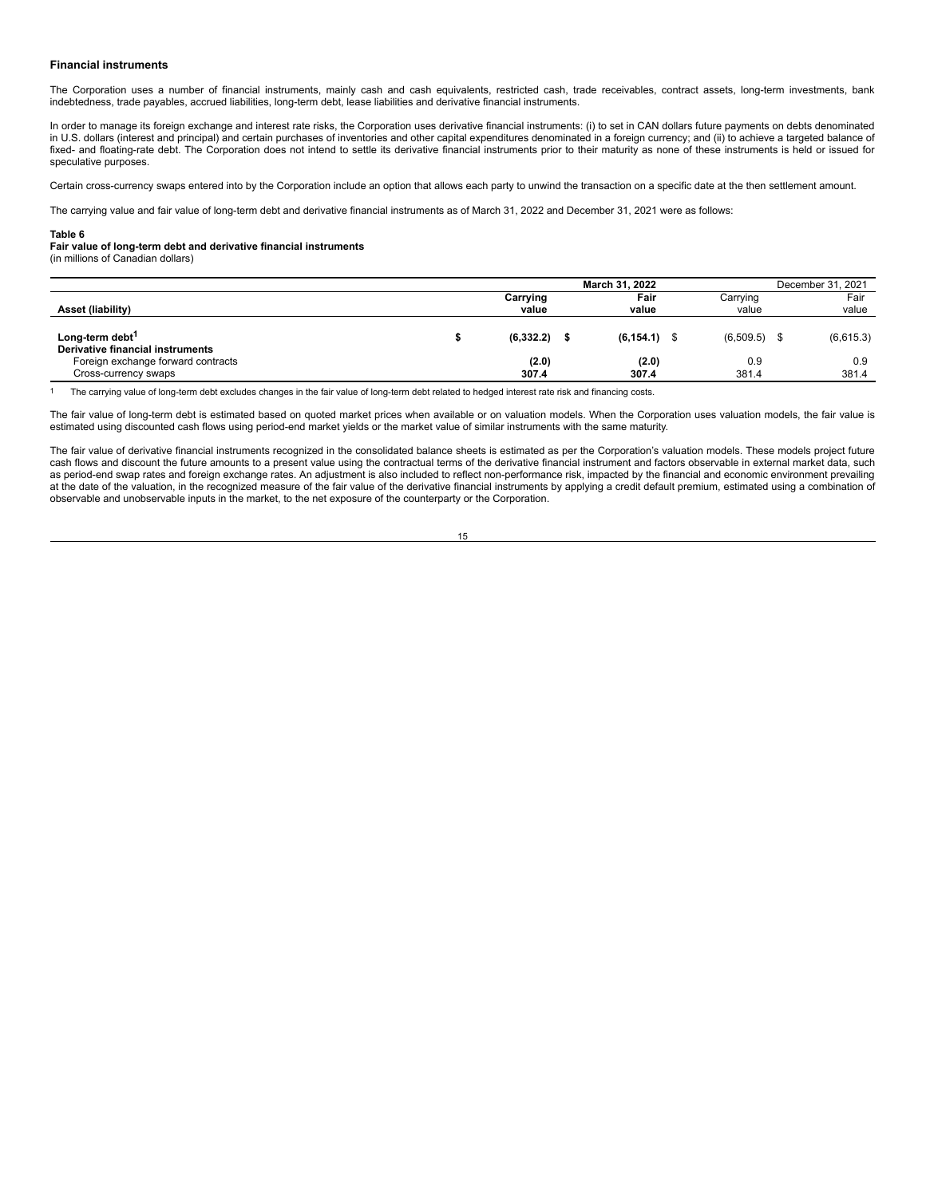#### **Financial instruments**

The Corporation uses a number of financial instruments, mainly cash and cash equivalents, restricted cash, trade receivables, contract assets, long-term investments, bank indebtedness, trade payables, accrued liabilities, long-term debt, lease liabilities and derivative financial instruments.

In order to manage its foreign exchange and interest rate risks, the Corporation uses derivative financial instruments: (i) to set in CAN dollars future payments on debts denominated in U.S. dollars (interest and principal) and certain purchases of inventories and other capital expenditures denominated in a foreign currency; and (ii) to achieve a targeted balance of fixed- and floating-rate debt. The Corporation does not intend to settle its derivative financial instruments prior to their maturity as none of these instruments is held or issued for speculative purposes.

Certain cross-currency swaps entered into by the Corporation include an option that allows each party to unwind the transaction on a specific date at the then settlement amount.

The carrying value and fair value of long-term debt and derivative financial instruments as of March 31, 2022 and December 31, 2021 were as follows:

#### **Table 6**

#### **Fair value of long-term debt and derivative financial instruments**

(in millions of Canadian dollars)

|                                                                 |                   |                 | December 31, 2021 |                   |     |               |  |
|-----------------------------------------------------------------|-------------------|-----------------|-------------------|-------------------|-----|---------------|--|
| Asset (liability)                                               | Carrying<br>value | Fair<br>value   |                   | Carrying<br>value |     | Fair<br>value |  |
| Long-term debt <sup>1</sup><br>Derivative financial instruments | $(6,332.2)$ \$    | $(6, 154.1)$ \$ |                   | (6,509.5)         | \$. | (6,615.3)     |  |
| Foreign exchange forward contracts<br>Cross-currency swaps      | (2.0)<br>307.4    | (2.0)<br>307.4  |                   | 0.9<br>381.4      |     | 0.9<br>381.4  |  |

<sup>1</sup> The carrying value of long-term debt excludes changes in the fair value of long-term debt related to hedged interest rate risk and financing costs.

The fair value of long-term debt is estimated based on quoted market prices when available or on valuation models. When the Corporation uses valuation models, the fair value is estimated using discounted cash flows using period-end market yields or the market value of similar instruments with the same maturity.

The fair value of derivative financial instruments recognized in the consolidated balance sheets is estimated as per the Corporation's valuation models. These models project future cash flows and discount the future amounts to a present value using the contractual terms of the derivative financial instrument and factors observable in external market data, such as period-end swap rates and foreign exchange rates. An adjustment is also included to reflect non-performance risk, impacted by the financial and economic environment prevailing at the date of the valuation, in the recognized measure of the fair value of the derivative financial instruments by applying a credit default premium, estimated using a combination of observable and unobservable inputs in the market, to the net exposure of the counterparty or the Corporation.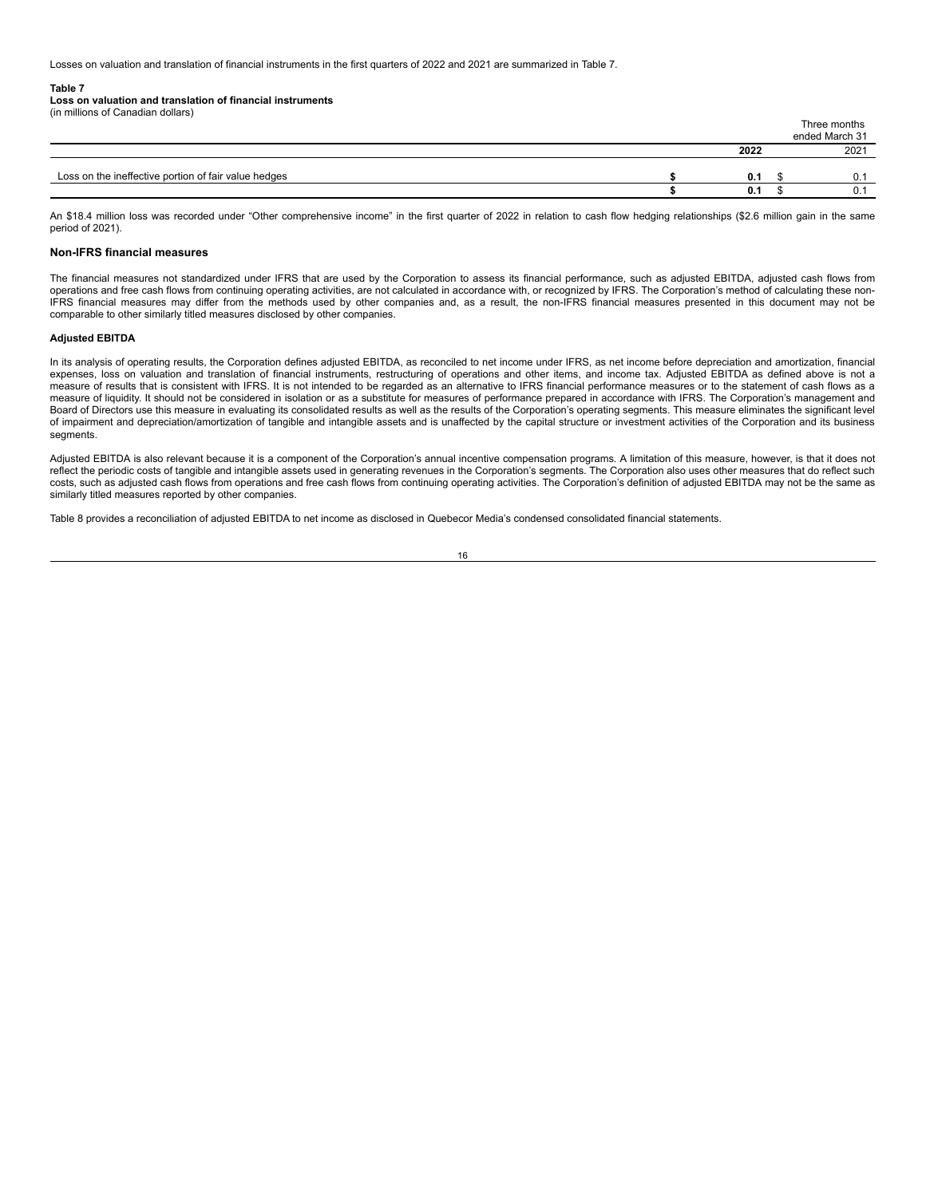Losses on valuation and translation of financial instruments in the first quarters of 2022 and 2021 are summarized in Table 7.

#### **Table 7**

**Loss on valuation and translation of financial instruments**

| (in millions of Canadian dollars) |  |  |
|-----------------------------------|--|--|
|                                   |  |  |
|                                   |  |  |
|                                   |  |  |

An \$18.4 million loss was recorded under "Other comprehensive income" in the first quarter of 2022 in relation to cash flow hedging relationships (\$2.6 million gain in the same period of 2021).

Loss on the ineffective portion of fair value hedges **\$ 0.1** \$ 0.1

Three months ended March 31 **2022** 2021

**\$ 0.1** \$ 0.1

#### **Non-IFRS financial measures**

The financial measures not standardized under IFRS that are used by the Corporation to assess its financial performance, such as adjusted EBITDA, adjusted cash flows from operations and free cash flows from continuing operating activities, are not calculated in accordance with, or recognized by IFRS. The Corporation's method of calculating these non-IFRS financial measures may differ from the methods used by other companies and, as a result, the non-IFRS financial measures presented in this document may not be comparable to other similarly titled measures disclosed by other companies.

#### **Adjusted EBITDA**

In its analysis of operating results, the Corporation defines adjusted EBITDA, as reconciled to net income under IFRS, as net income before depreciation and amortization, financial expenses, loss on valuation and translation of financial instruments, restructuring of operations and other items, and income tax. Adjusted EBITDA as defined above is not a measure of results that is consistent with IFRS. It is not intended to be regarded as an alternative to IFRS financial performance measures or to the statement of cash flows as a measure of liquidity. It should not be considered in isolation or as a substitute for measures of performance prepared in accordance with IFRS. The Corporation's management and Board of Directors use this measure in evaluating its consolidated results as well as the results of the Corporation's operating segments. This measure eliminates the significant level of impairment and depreciation/amortization of tangible and intangible assets and is unaffected by the capital structure or investment activities of the Corporation and its business segments.

Adjusted EBITDA is also relevant because it is a component of the Corporation's annual incentive compensation programs. A limitation of this measure, however, is that it does not reflect the periodic costs of tangible and intangible assets used in generating revenues in the Corporation's segments. The Corporation also uses other measures that do reflect such costs, such as adjusted cash flows from operations and free cash flows from continuing operating activities. The Corporation's definition of adjusted EBITDA may not be the same as similarly titled measures reported by other companies.

Table 8 provides a reconciliation of adjusted EBITDA to net income as disclosed in Quebecor Media's condensed consolidated financial statements.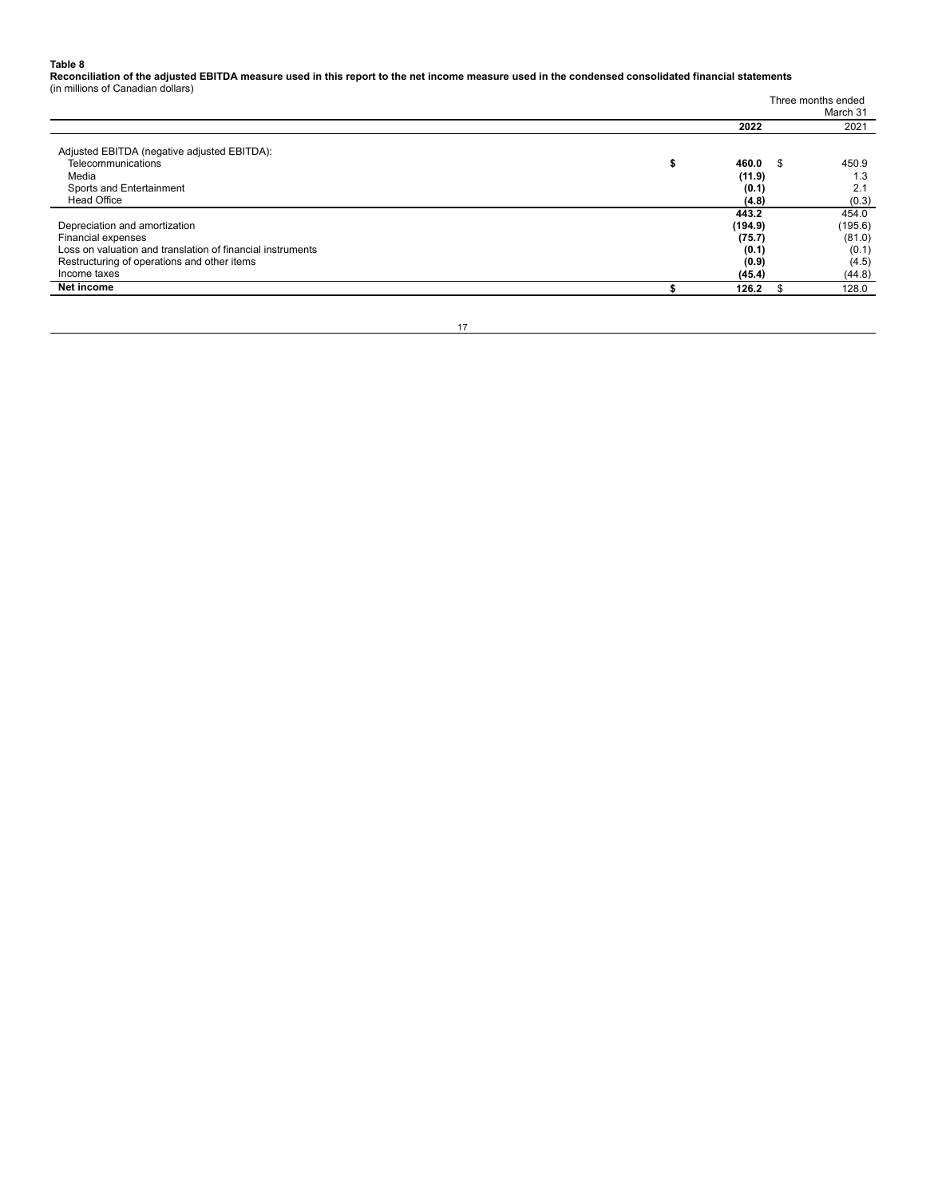**Table 8 Reconciliation of the adjusted EBITDA measure used in this report to the net income measure used in the condensed consolidated financial statements** (in millions of Canadian dollars)

| Net income                                                 | 126.2       | \$.                | 128.0    |  |  |  |  |  |
|------------------------------------------------------------|-------------|--------------------|----------|--|--|--|--|--|
| Income taxes                                               | (45.4)      |                    | (44.8)   |  |  |  |  |  |
| Restructuring of operations and other items                | (0.9)       |                    | (4.5)    |  |  |  |  |  |
| Loss on valuation and translation of financial instruments | (0.1)       |                    | (0.1)    |  |  |  |  |  |
| Financial expenses                                         | (75.7)      |                    | (81.0)   |  |  |  |  |  |
| Depreciation and amortization                              | (194.9)     |                    | (195.6)  |  |  |  |  |  |
|                                                            | 443.2       |                    | 454.0    |  |  |  |  |  |
| <b>Head Office</b>                                         | (4.8)       |                    | (0.3)    |  |  |  |  |  |
| Sports and Entertainment                                   | (0.1)       |                    | 2.1      |  |  |  |  |  |
| Media                                                      | (11.9)      |                    | 1.3      |  |  |  |  |  |
| Telecommunications                                         | 460.0<br>×. | - \$               | 450.9    |  |  |  |  |  |
| Adjusted EBITDA (negative adjusted EBITDA):                |             |                    |          |  |  |  |  |  |
|                                                            | 2022        |                    | 2021     |  |  |  |  |  |
|                                                            |             |                    | March 31 |  |  |  |  |  |
|                                                            |             | Three months ended |          |  |  |  |  |  |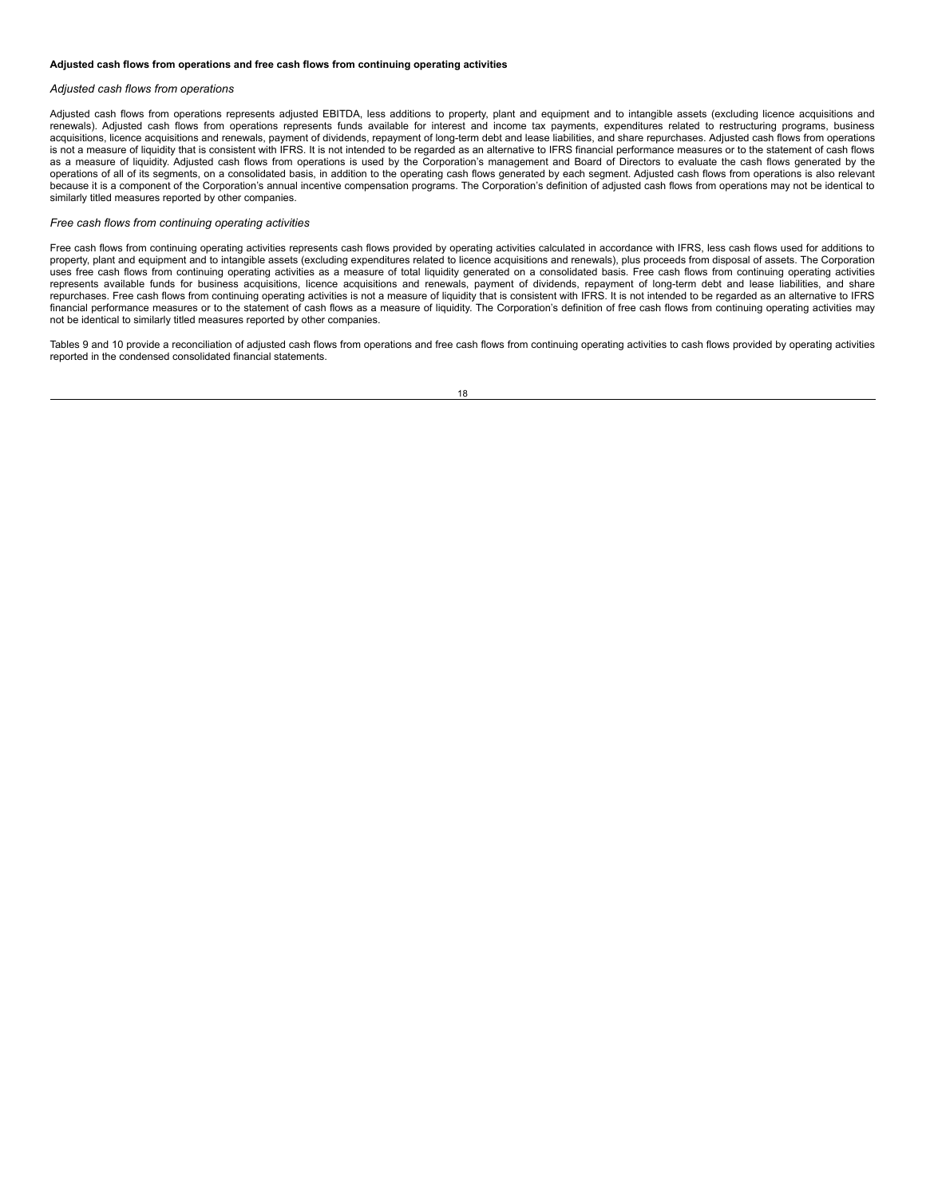#### **Adjusted cash flows from operations and free cash flows from continuing operating activities**

#### *Adjusted cash flows from operations*

Adjusted cash flows from operations represents adjusted EBITDA, less additions to property, plant and equipment and to intangible assets (excluding licence acquisitions and<br>renewals). Adjusted cash flows from operations re acquisitions, licence acquisitions and renewals, payment of dividends, repayment of long-term debt and lease liabilities, and share repurchases. Adjusted cash flows from operations is not a measure of liquidity that is consistent with IFRS. It is not intended to be regarded as an alternative to IFRS financial performance measures or to the statement of cash flows as a measure of liquidity. Adjusted cash flows from operations is used by the Corporation's management and Board of Directors to evaluate the cash flows generated by the operations of all of its segments, on a consolidated basis, in addition to the operating cash flows generated by each segment. Adjusted cash flows from operations is also relevant because it is a component of the Corporation's annual incentive compensation programs. The Corporation's definition of adjusted cash flows from operations may not be identical to similarly titled measures reported by other companies.

#### *Free cash flows from continuing operating activities*

Free cash flows from continuing operating activities represents cash flows provided by operating activities calculated in accordance with IFRS, less cash flows used for additions to property, plant and equipment and to intangible assets (excluding expenditures related to licence acquisitions and renewals), plus proceeds from disposal of assets. The Corporation uses free cash flows from continuing operating activities as a measure of total liquidity generated on a consolidated basis. Free cash flows from continuing operating activities represents available funds for business acquisitions, licence acquisitions and renewals, payment of dividends, repayment of long-term debt and lease liabilities, and share repurchases. Free cash flows from continuing operating activities is not a measure of liquidity that is consistent with IFRS. It is not intended to be regarded as an alternative to IFRS<br>financial performance measures or to not be identical to similarly titled measures reported by other companies.

Tables 9 and 10 provide a reconciliation of adjusted cash flows from operations and free cash flows from continuing operating activities to cash flows provided by operating activities reported in the condensed consolidated financial statements.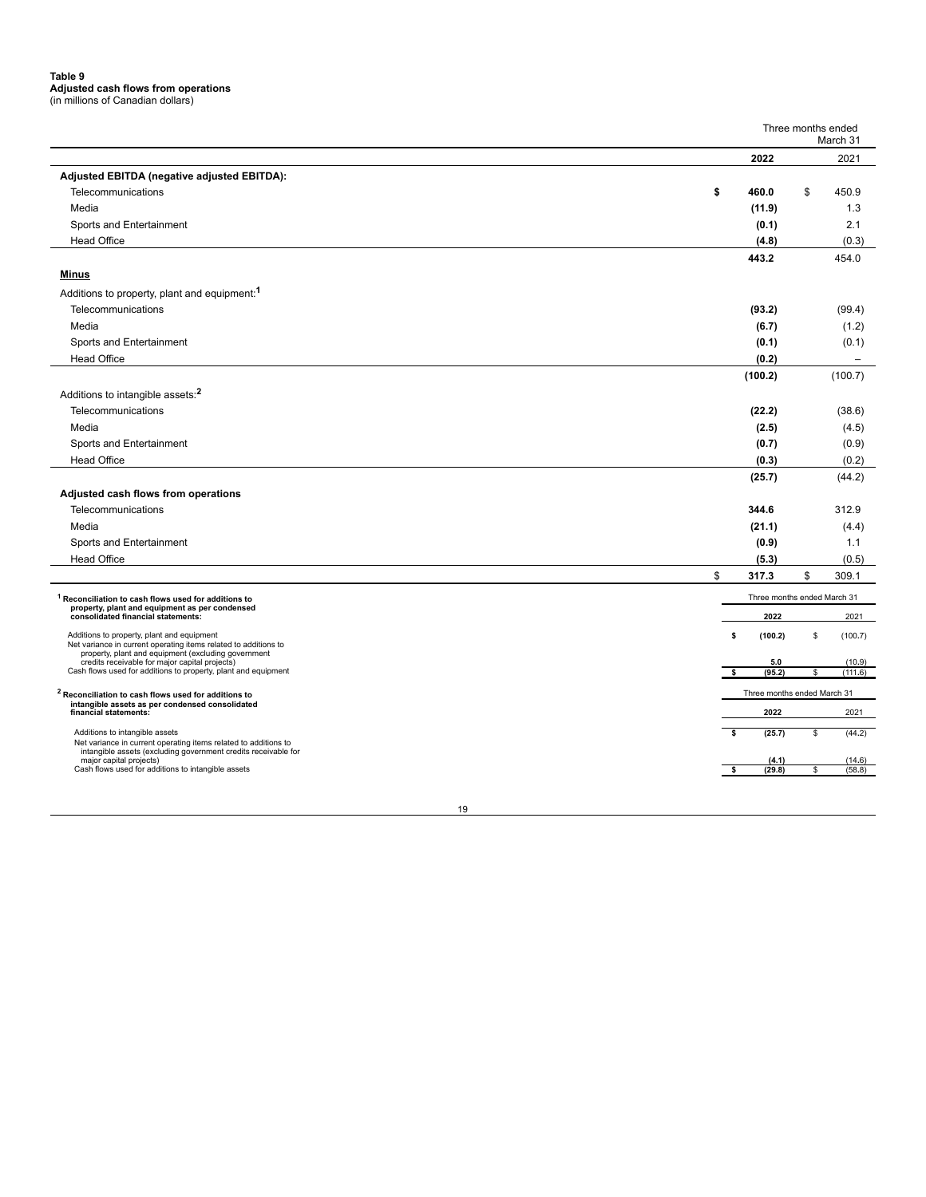# **Table 9 Adjusted cash flows from operations** (in millions of Canadian dollars)

|                                                                                                                        | Three months ended<br>March 31 |          |                             |    |                          |  |
|------------------------------------------------------------------------------------------------------------------------|--------------------------------|----------|-----------------------------|----|--------------------------|--|
|                                                                                                                        | 2022                           |          |                             |    | 2021                     |  |
| Adjusted EBITDA (negative adjusted EBITDA):                                                                            |                                |          |                             |    |                          |  |
| Telecommunications                                                                                                     | \$                             |          | 460.0                       | \$ | 450.9                    |  |
| Media                                                                                                                  |                                |          | (11.9)                      |    | 1.3                      |  |
|                                                                                                                        |                                |          |                             |    |                          |  |
| Sports and Entertainment                                                                                               |                                |          | (0.1)                       |    | 2.1                      |  |
| <b>Head Office</b>                                                                                                     |                                |          | (4.8)                       |    | (0.3)                    |  |
|                                                                                                                        |                                |          | 443.2                       |    | 454.0                    |  |
| <b>Minus</b>                                                                                                           |                                |          |                             |    |                          |  |
| Additions to property, plant and equipment: <sup>1</sup>                                                               |                                |          |                             |    |                          |  |
| Telecommunications                                                                                                     |                                |          | (93.2)                      |    | (99.4)                   |  |
| Media                                                                                                                  |                                |          | (6.7)                       |    | (1.2)                    |  |
| Sports and Entertainment                                                                                               |                                |          | (0.1)                       |    | (0.1)                    |  |
| <b>Head Office</b>                                                                                                     |                                |          | (0.2)                       |    | $\overline{\phantom{m}}$ |  |
|                                                                                                                        |                                |          | (100.2)                     |    | (100.7)                  |  |
| Additions to intangible assets: <sup>2</sup>                                                                           |                                |          |                             |    |                          |  |
| Telecommunications                                                                                                     |                                |          | (22.2)                      |    | (38.6)                   |  |
| Media                                                                                                                  |                                |          | (2.5)                       |    | (4.5)                    |  |
| Sports and Entertainment                                                                                               |                                |          | (0.7)                       |    | (0.9)                    |  |
| <b>Head Office</b>                                                                                                     |                                |          | (0.3)                       |    | (0.2)                    |  |
|                                                                                                                        |                                |          | (25.7)                      |    | (44.2)                   |  |
| Adjusted cash flows from operations                                                                                    |                                |          |                             |    |                          |  |
| Telecommunications                                                                                                     |                                |          | 344.6                       |    | 312.9                    |  |
| Media                                                                                                                  |                                |          | (21.1)                      |    | (4.4)                    |  |
| Sports and Entertainment                                                                                               |                                |          | (0.9)                       |    | 1.1                      |  |
| <b>Head Office</b>                                                                                                     |                                |          | (5.3)                       |    | (0.5)                    |  |
|                                                                                                                        | \$                             |          | 317.3                       | \$ | 309.1                    |  |
| <sup>1</sup> Reconciliation to cash flows used for additions to                                                        |                                |          | Three months ended March 31 |    |                          |  |
| property, plant and equipment as per condensed<br>consolidated financial statements:                                   |                                |          | 2022                        |    | 2021                     |  |
| Additions to property, plant and equipment                                                                             |                                | \$       | (100.2)                     | \$ | (100.7)                  |  |
| Net variance in current operating items related to additions to<br>property, plant and equipment (excluding government |                                |          |                             |    |                          |  |
| credits receivable for major capital projects)<br>Cash flows used for additions to property, plant and equipment       |                                |          | 5.0<br>(95.2)               |    | (10.9)<br>(111.6)        |  |
|                                                                                                                        |                                |          |                             |    |                          |  |
| <sup>2</sup> Reconciliation to cash flows used for additions to<br>intangible assets as per condensed consolidated     |                                |          | Three months ended March 31 |    |                          |  |
| financial statements:                                                                                                  |                                |          | 2022                        |    | 2021                     |  |
| Additions to intangible assets<br>Net variance in current operating items related to additions to                      |                                | <b>s</b> | (25.7)                      | \$ | (44.2)                   |  |
| intangible assets (excluding government credits receivable for<br>major capital projects)                              |                                |          | (4.1)                       |    | (14.6)                   |  |
| Cash flows used for additions to intangible assets                                                                     |                                |          | (29.8)                      | \$ | (58.8)                   |  |
|                                                                                                                        |                                |          |                             |    |                          |  |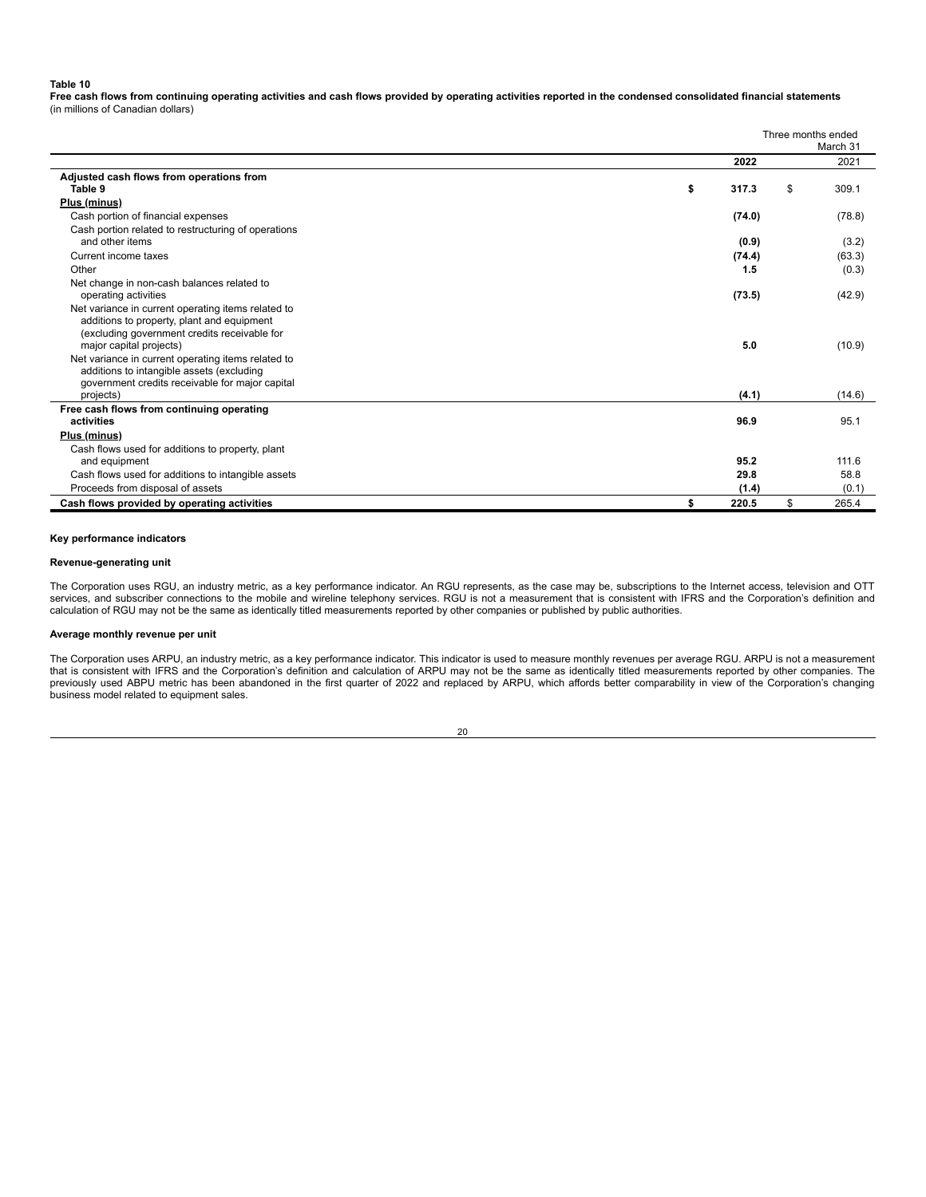#### **Table 10**

**Free cash flows from continuing operating activities and cash flows provided by operating activities reported in the condensed consolidated financial statements** (in millions of Canadian dollars)

|                                                                                                 | Three months ended<br>March 31 |    |        |  |  |  |  |  |
|-------------------------------------------------------------------------------------------------|--------------------------------|----|--------|--|--|--|--|--|
|                                                                                                 | 2022                           |    | 2021   |  |  |  |  |  |
| Adjusted cash flows from operations from                                                        |                                |    |        |  |  |  |  |  |
| Table 9                                                                                         | \$<br>317.3                    | \$ | 309.1  |  |  |  |  |  |
| Plus (minus)                                                                                    |                                |    |        |  |  |  |  |  |
| Cash portion of financial expenses                                                              | (74.0)                         |    | (78.8) |  |  |  |  |  |
| Cash portion related to restructuring of operations                                             |                                |    |        |  |  |  |  |  |
| and other items                                                                                 | (0.9)                          |    | (3.2)  |  |  |  |  |  |
| Current income taxes                                                                            | (74.4)                         |    | (63.3) |  |  |  |  |  |
| Other                                                                                           | 1.5                            |    | (0.3)  |  |  |  |  |  |
| Net change in non-cash balances related to                                                      |                                |    |        |  |  |  |  |  |
| operating activities                                                                            | (73.5)                         |    | (42.9) |  |  |  |  |  |
| Net variance in current operating items related to                                              |                                |    |        |  |  |  |  |  |
| additions to property, plant and equipment                                                      |                                |    |        |  |  |  |  |  |
| (excluding government credits receivable for<br>major capital projects)                         | 5.0                            |    | (10.9) |  |  |  |  |  |
|                                                                                                 |                                |    |        |  |  |  |  |  |
| Net variance in current operating items related to<br>additions to intangible assets (excluding |                                |    |        |  |  |  |  |  |
| government credits receivable for major capital                                                 |                                |    |        |  |  |  |  |  |
| projects)                                                                                       | (4.1)                          |    | (14.6) |  |  |  |  |  |
| Free cash flows from continuing operating                                                       |                                |    |        |  |  |  |  |  |
| activities                                                                                      | 96.9                           |    | 95.1   |  |  |  |  |  |
| Plus (minus)                                                                                    |                                |    |        |  |  |  |  |  |
| Cash flows used for additions to property, plant                                                |                                |    |        |  |  |  |  |  |
| and equipment                                                                                   | 95.2                           |    | 111.6  |  |  |  |  |  |
| Cash flows used for additions to intangible assets                                              | 29.8                           |    | 58.8   |  |  |  |  |  |
| Proceeds from disposal of assets                                                                | (1.4)                          |    | (0.1)  |  |  |  |  |  |
| Cash flows provided by operating activities                                                     | \$<br>220.5                    | \$ | 265.4  |  |  |  |  |  |

#### **Key performance indicators**

#### **Revenue-generating unit**

The Corporation uses RGU, an industry metric, as a key performance indicator. An RGU represents, as the case may be, subscriptions to the Internet access, television and OTT services, and subscriber connections to the mobile and wireline telephony services. RGU is not a measurement that is consistent with IFRS and the Corporation's definition and calculation of RGU may not be the same as identically titled measurements reported by other companies or published by public authorities.

#### **Average monthly revenue per unit**

The Corporation uses ARPU, an industry metric, as a key performance indicator. This indicator is used to measure monthly revenues per average RGU. ARPU is not a measurement that is consistent with IFRS and the Corporation's definition and calculation of ARPU may not be the same as identically titled measurements reported by other companies. The previously used ABPU metric has been abandoned in the first quarter of 2022 and replaced by ARPU, which affords better comparability in view of the Corporation's changing business model related to equipment sales.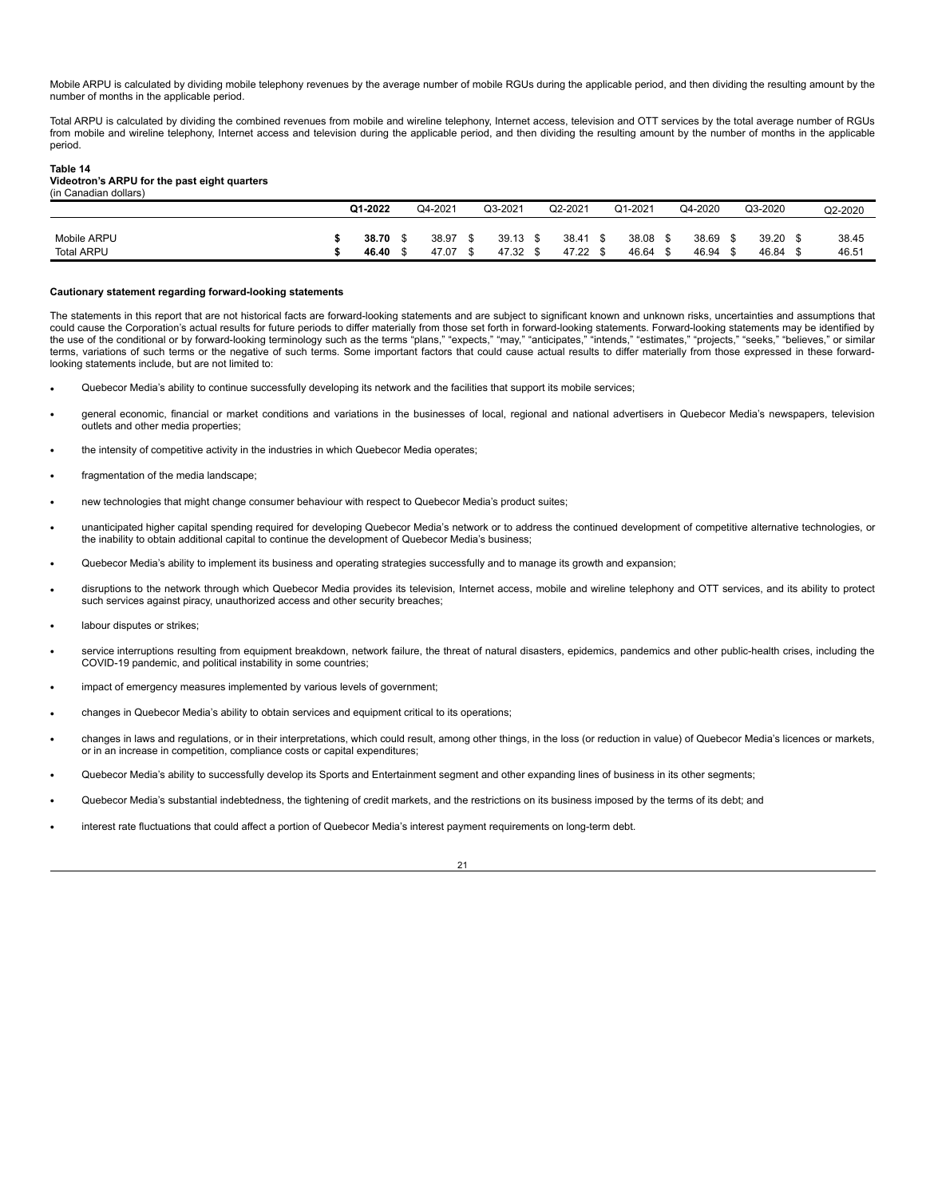Mobile ARPU is calculated by dividing mobile telephony revenues by the average number of mobile RGUs during the applicable period, and then dividing the resulting amount by the number of months in the applicable period.

Total ARPU is calculated by dividing the combined revenues from mobile and wireline telephony, Internet access, television and OTT services by the total average number of RGUs from mobile and wireline telephony, Internet access and television during the applicable period, and then dividing the resulting amount by the number of months in the applicable period.

#### **Table 14**

#### **Videotron's ARPU for the past eight quarters** (in Canadian dollars)

|             | Q1-2022 |  | Q4-2021<br>Q3-2021 |  | Q2-2021 |       | Q1-2021 |       | Q4-2020 |       | Q3-2020 |       | Q2-2020 |       |
|-------------|---------|--|--------------------|--|---------|-------|---------|-------|---------|-------|---------|-------|---------|-------|
|             |         |  |                    |  |         |       |         |       |         |       |         |       |         |       |
| Mobile ARPU | 38.70   |  | 38.97              |  | 39.13   | 38.41 |         | 38.08 |         | 38.69 |         | 39.20 |         | 38.45 |
| Total ARPU  | 46.40   |  | 47.07              |  | 47.32   | 47.22 |         | 46.64 |         | 46.94 |         | 46.84 |         | 46.51 |

#### **Cautionary statement regarding forward-looking statements**

The statements in this report that are not historical facts are forward-looking statements and are subject to significant known and unknown risks, uncertainties and assumptions that could cause the Corporation's actual results for future periods to differ materially from those set forth in forward-looking statements. Forward-looking statements may be identified by<br>the use of the conditional or by forw terms, variations of such terms or the negative of such terms. Some important factors that could cause actual results to differ materially from those expressed in these forwardlooking statements include, but are not limited to:

- Quebecor Media's ability to continue successfully developing its network and the facilities that support its mobile services;
- general economic, financial or market conditions and variations in the businesses of local, regional and national advertisers in Quebecor Media's newspapers, television outlets and other media properties;
- the intensity of competitive activity in the industries in which Quebecor Media operates;
- fragmentation of the media landscape:
- new technologies that might change consumer behaviour with respect to Quebecor Media's product suites;
- unanticipated higher capital spending required for developing Quebecor Media's network or to address the continued development of competitive alternative technologies, or the inability to obtain additional capital to continue the development of Quebecor Media's business;
- Quebecor Media's ability to implement its business and operating strategies successfully and to manage its growth and expansion;
- disruptions to the network through which Quebecor Media provides its television, Internet access, mobile and wireline telephony and OTT services, and its ability to protect such services against piracy, unauthorized access and other security breaches;
- labour disputes or strikes;
- service interruptions resulting from equipment breakdown, network failure, the threat of natural disasters, epidemics, pandemics and other public-health crises, including the COVID-19 pandemic, and political instability in some countries;
- impact of emergency measures implemented by various levels of government;
- changes in Quebecor Media's ability to obtain services and equipment critical to its operations;
- changes in laws and regulations, or in their interpretations, which could result, among other things, in the loss (or reduction in value) of Quebecor Media's licences or markets, or in an increase in competition, compliance costs or capital expenditures;
- Quebecor Media's ability to successfully develop its Sports and Entertainment segment and other expanding lines of business in its other segments;
- Quebecor Media's substantial indebtedness, the tightening of credit markets, and the restrictions on its business imposed by the terms of its debt; and
- interest rate fluctuations that could affect a portion of Quebecor Media's interest payment requirements on long-term debt.

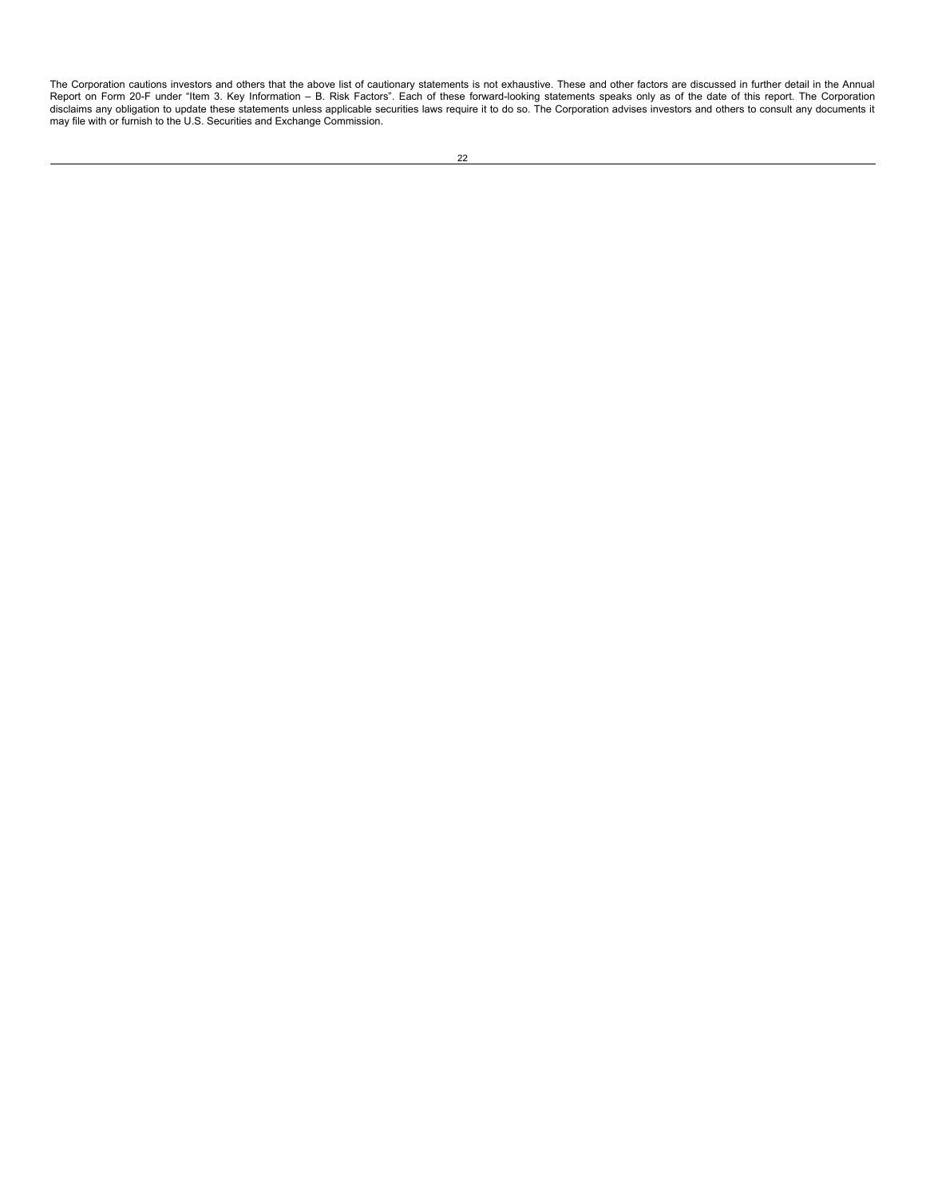The Corporation cautions investors and others that the above list of cautionary statements is not exhaustive. These and other factors are discussed in further detail in the Annual<br>Report on Form 20-F under "Item 3. Key Inf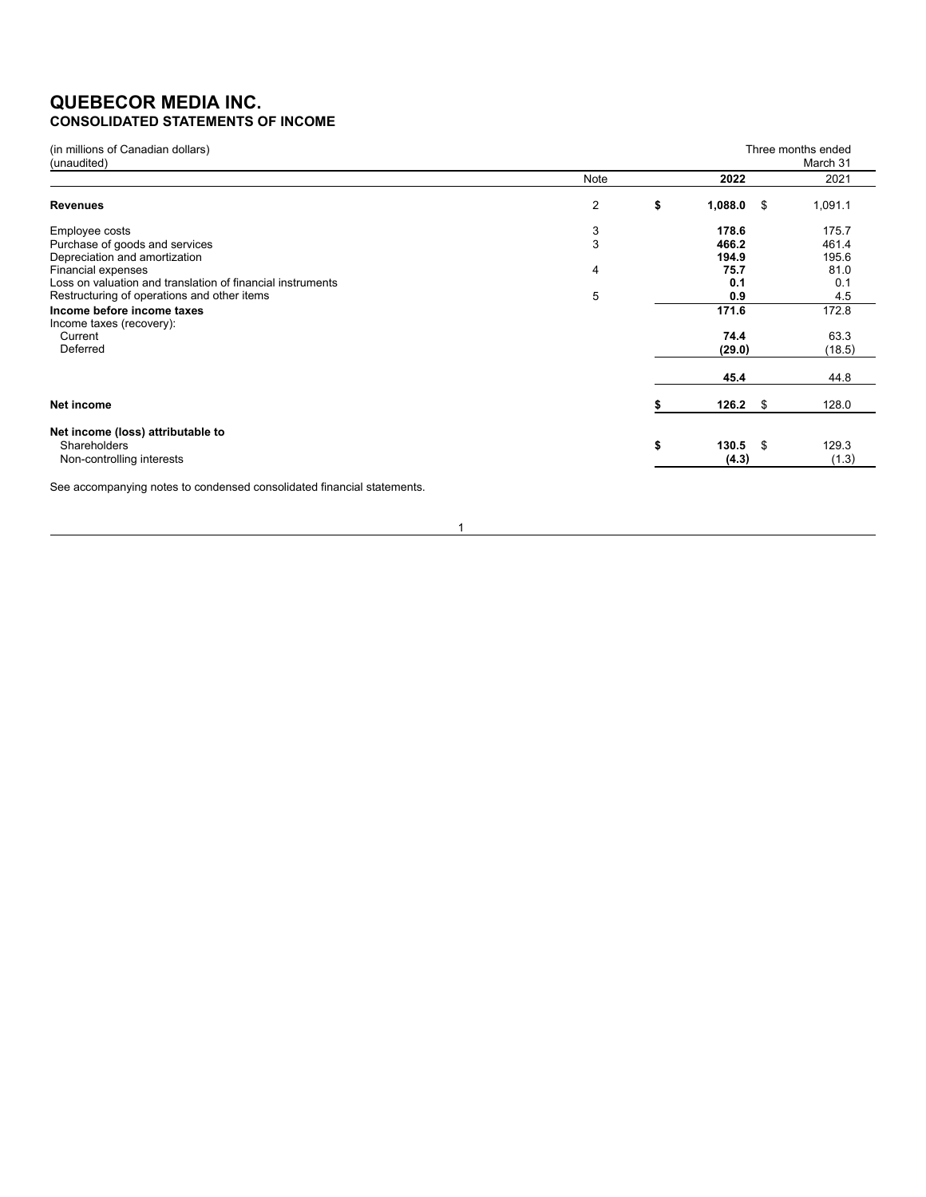# **QUEBECOR MEDIA INC. CONSOLIDATED STATEMENTS OF INCOME**

| (in millions of Canadian dollars)<br>(unaudited)           |      |                       | Three months ended<br>March 31 |
|------------------------------------------------------------|------|-----------------------|--------------------------------|
|                                                            | Note | 2022                  | 2021                           |
| <b>Revenues</b>                                            | 2    | \$<br>1,088.0<br>- \$ | 1,091.1                        |
| Employee costs                                             | 3    | 178.6                 | 175.7                          |
| Purchase of goods and services                             | 3    | 466.2                 | 461.4                          |
| Depreciation and amortization                              |      | 194.9                 | 195.6                          |
| Financial expenses                                         | 4    | 75.7                  | 81.0                           |
| Loss on valuation and translation of financial instruments |      | 0.1                   | 0.1                            |
| Restructuring of operations and other items                | 5    | 0.9                   | 4.5                            |
| Income before income taxes                                 |      | 171.6                 | 172.8                          |
| Income taxes (recovery):<br>Current                        |      | 74.4                  | 63.3                           |
| Deferred                                                   |      | (29.0)                | (18.5)                         |
|                                                            |      | 45.4                  | 44.8                           |
| Net income                                                 |      | 126.2<br>\$           | 128.0                          |
| Net income (loss) attributable to                          |      |                       |                                |
| Shareholders                                               |      | \$<br>130.5<br>- \$   | 129.3                          |
| Non-controlling interests                                  |      | (4.3)                 | (1.3)                          |
|                                                            |      |                       |                                |

See accompanying notes to condensed consolidated financial statements.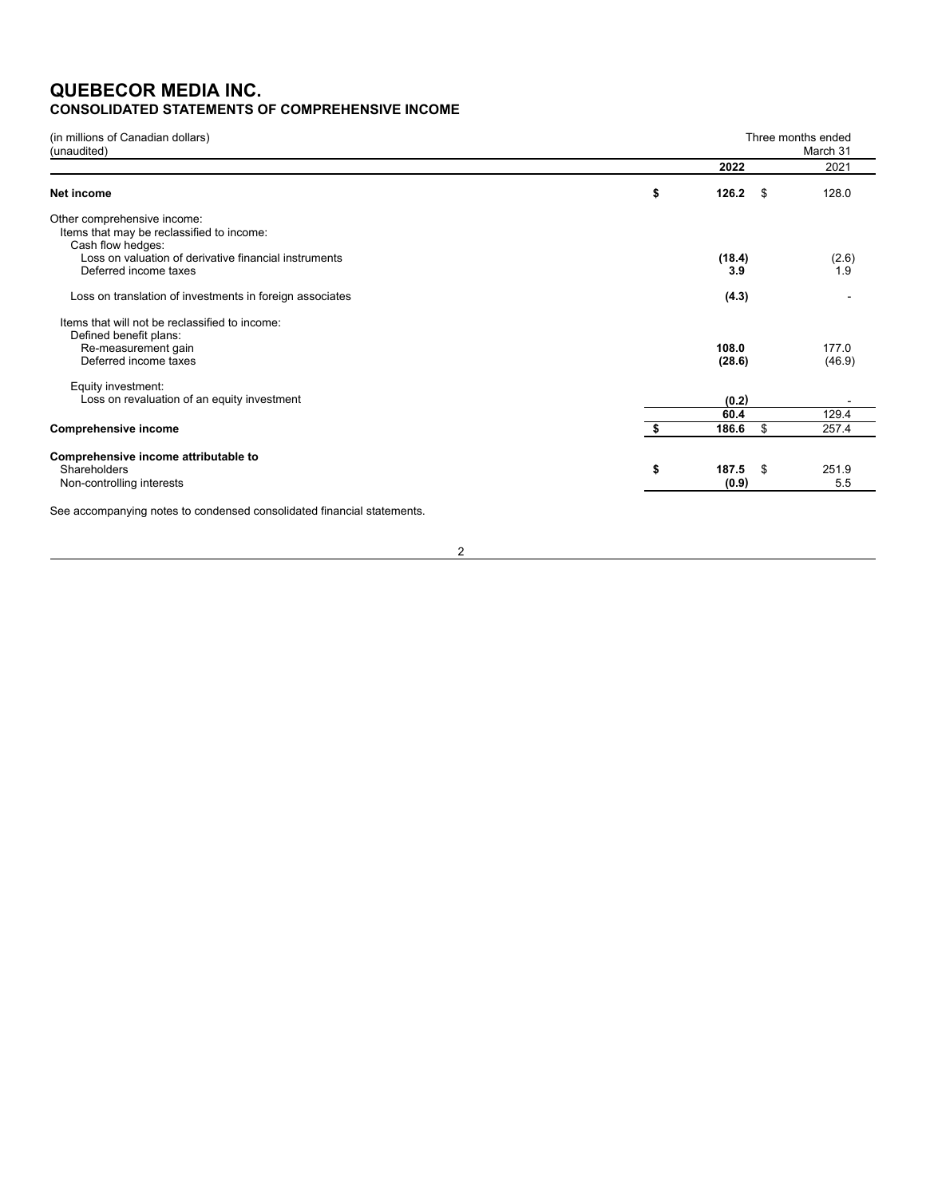# **QUEBECOR MEDIA INC. CONSOLIDATED STATEMENTS OF COMPREHENSIVE INCOME**

| (in millions of Canadian dollars)<br>(unaudited)                                                |    |                       | Three months ended<br>March 31 |
|-------------------------------------------------------------------------------------------------|----|-----------------------|--------------------------------|
|                                                                                                 |    | 2022                  | 2021                           |
| Net income                                                                                      | \$ | 126.2<br>- \$         | 128.0                          |
| Other comprehensive income:<br>Items that may be reclassified to income:<br>Cash flow hedges:   |    |                       |                                |
| Loss on valuation of derivative financial instruments<br>Deferred income taxes                  |    | (18.4)<br>3.9         | (2.6)<br>1.9                   |
| Loss on translation of investments in foreign associates                                        |    | (4.3)                 |                                |
| Items that will not be reclassified to income:<br>Defined benefit plans:<br>Re-measurement gain |    | 108.0                 | 177.0                          |
| Deferred income taxes                                                                           |    | (28.6)                | (46.9)                         |
| Equity investment:<br>Loss on revaluation of an equity investment                               |    | (0.2)                 |                                |
|                                                                                                 |    | 60.4                  | 129.4                          |
| <b>Comprehensive income</b>                                                                     | S  | 186.6<br>\$           | 257.4                          |
| Comprehensive income attributable to<br>Shareholders<br>Non-controlling interests               | \$ | 187.5<br>-\$<br>(0.9) | 251.9<br>5.5                   |
| See accompanying notes to condensed consolidated financial statements.                          |    |                       |                                |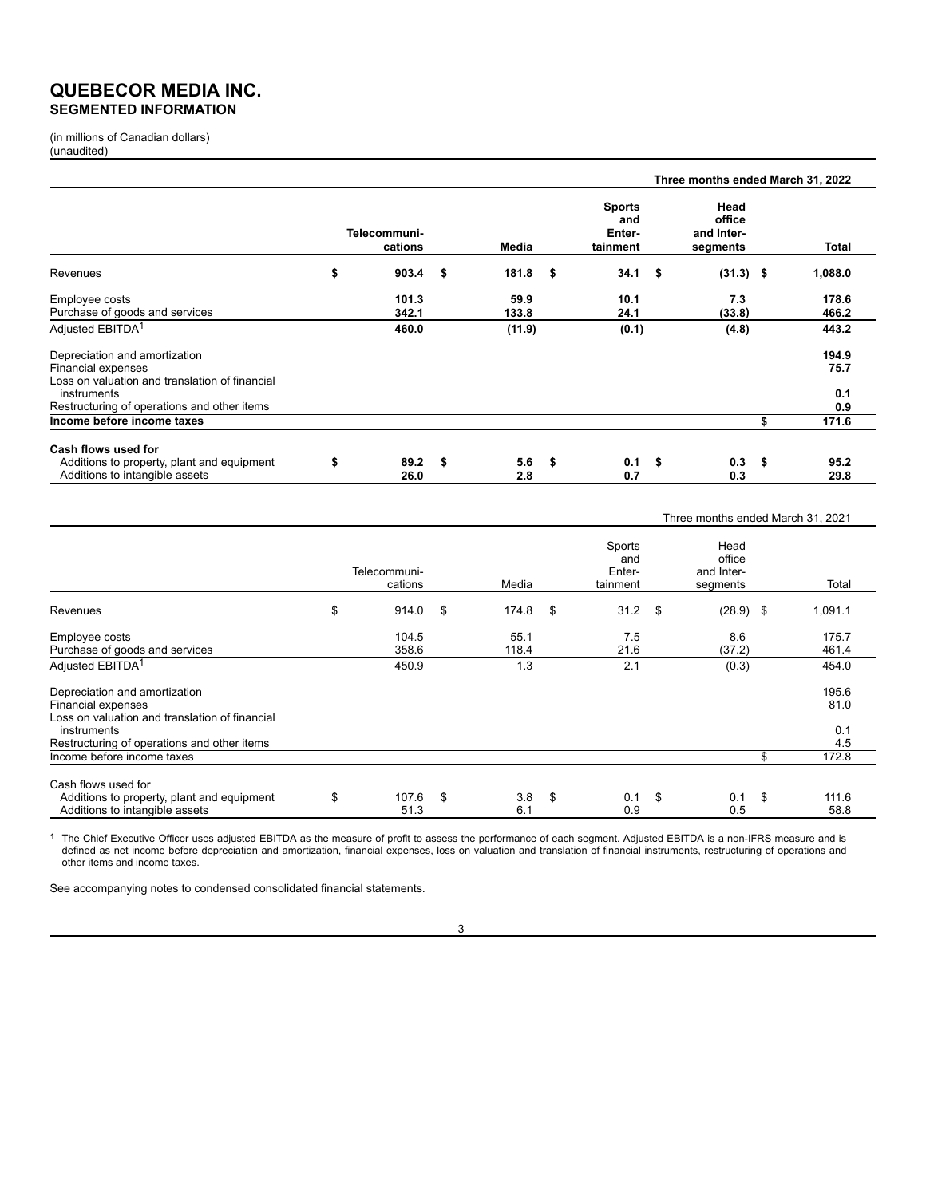# **QUEBECOR MEDIA INC. SEGMENTED INFORMATION**

(in millions of Canadian dollars) (unaudited)

|                                                                              |                         |      |            |                                            |        | Three months ended March 31, 2022        |     |              |
|------------------------------------------------------------------------------|-------------------------|------|------------|--------------------------------------------|--------|------------------------------------------|-----|--------------|
|                                                                              | Telecommuni-<br>cations |      | Media      | <b>Sports</b><br>and<br>Enter-<br>tainment |        | Head<br>office<br>and Inter-<br>segments |     | Total        |
| Revenues                                                                     | \$<br>903.4             | \$   | 181.8      | \$<br>34.1                                 | $\sim$ | $(31.3)$ \$                              |     | 1,088.0      |
| Employee costs                                                               | 101.3                   |      | 59.9       | 10.1                                       |        | 7.3                                      |     | 178.6        |
| Purchase of goods and services                                               | 342.1                   |      | 133.8      | 24.1                                       |        | (33.8)                                   |     | 466.2        |
| Adjusted EBITDA <sup>1</sup>                                                 | 460.0                   |      | (11.9)     | (0.1)                                      |        | (4.8)                                    |     | 443.2        |
| Depreciation and amortization                                                |                         |      |            |                                            |        |                                          |     | 194.9        |
| Financial expenses                                                           |                         |      |            |                                            |        |                                          |     | 75.7         |
| Loss on valuation and translation of financial<br>instruments                |                         |      |            |                                            |        |                                          |     | 0.1          |
| Restructuring of operations and other items                                  |                         |      |            |                                            |        |                                          |     | 0.9          |
| Income before income taxes                                                   |                         |      |            |                                            |        |                                          | \$  | 171.6        |
|                                                                              |                         |      |            |                                            |        |                                          |     |              |
| Cash flows used for                                                          |                         |      |            |                                            |        |                                          |     |              |
| Additions to property, plant and equipment<br>Additions to intangible assets | \$<br>89.2<br>26.0      | - \$ | 5.6<br>2.8 | \$<br>0.1<br>0.7                           | - \$   | 0.3<br>0.3                               | -\$ | 95.2<br>29.8 |

|                                                                                     |                         |                  |                                     | Three months ended March 31, 2021        |                     |
|-------------------------------------------------------------------------------------|-------------------------|------------------|-------------------------------------|------------------------------------------|---------------------|
|                                                                                     | Telecommuni-<br>cations | Media            | Sports<br>and<br>Enter-<br>tainment | Head<br>office<br>and Inter-<br>segments | Total               |
| Revenues                                                                            | \$<br>914.0             | \$<br>174.8      | \$<br>$31.2$ \$                     | $(28.9)$ \$                              | 1,091.1             |
| Employee costs                                                                      | 104.5                   | 55.1             | 7.5                                 | 8.6                                      | 175.7               |
| Purchase of goods and services                                                      | 358.6                   | 118.4            | 21.6                                | (37.2)                                   | 461.4               |
| Adjusted EBITDA <sup>1</sup>                                                        | 450.9                   | 1.3              | 2.1                                 | (0.3)                                    | 454.0               |
| Depreciation and amortization                                                       |                         |                  |                                     |                                          | 195.6               |
| Financial expenses<br>Loss on valuation and translation of financial<br>instruments |                         |                  |                                     |                                          | 81.0<br>0.1         |
| Restructuring of operations and other items                                         |                         |                  |                                     |                                          | 4.5                 |
| Income before income taxes                                                          |                         |                  |                                     |                                          | \$<br>172.8         |
| Cash flows used for                                                                 |                         |                  |                                     |                                          |                     |
| Additions to property, plant and equipment<br>Additions to intangible assets        | \$<br>107.6<br>51.3     | \$<br>3.8<br>6.1 | \$<br>0.1<br>0.9                    | \$<br>0.1<br>0.5                         | \$<br>111.6<br>58.8 |

The Chief Executive Officer uses adjusted EBITDA as the measure of profit to assess the performance of each segment. Adjusted EBITDA is a non-IFRS measure and is<br>defined as net income before depreciation and amortization, other items and income taxes.

See accompanying notes to condensed consolidated financial statements.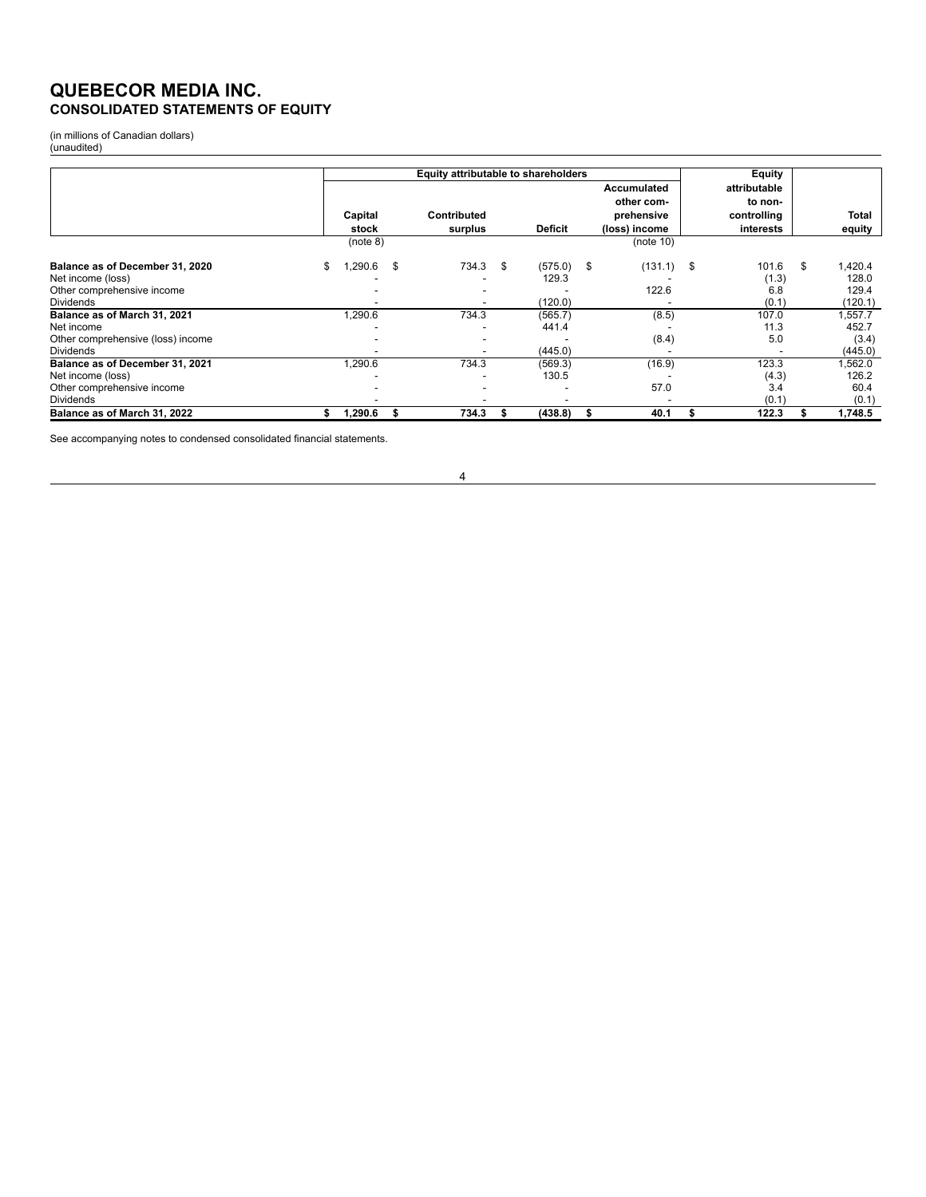# **QUEBECOR MEDIA INC. CONSOLIDATED STATEMENTS OF EQUITY**

(in millions of Canadian dollars) (unaudited)

|                                   |   |          |    | Equity attributable to shareholders |                |     |               | Equity       |              |
|-----------------------------------|---|----------|----|-------------------------------------|----------------|-----|---------------|--------------|--------------|
|                                   |   |          |    |                                     |                |     | Accumulated   | attributable |              |
|                                   |   |          |    |                                     |                |     | other com-    | to non-      |              |
|                                   |   | Capital  |    | Contributed                         |                |     | prehensive    | controlling  | Total        |
|                                   |   | stock    |    | surplus                             | <b>Deficit</b> |     | (loss) income | interests    | equity       |
|                                   |   | (note 8) |    |                                     |                |     | (note 10)     |              |              |
| Balance as of December 31, 2020   | S | .290.6   | \$ | 734.3 \$                            | (575.0)        | -\$ | $(131.1)$ \$  | 101.6        | \$<br>.420.4 |
| Net income (loss)                 |   |          |    |                                     | 129.3          |     |               | (1.3)        | 128.0        |
| Other comprehensive income        |   |          |    |                                     |                |     | 122.6         | 6.8          | 129.4        |
| <b>Dividends</b>                  |   |          |    | ٠                                   | (120.0)        |     |               | (0.1)        | (120.1)      |
| Balance as of March 31, 2021      |   | 1,290.6  |    | 734.3                               | (565.7)        |     | (8.5)         | 107.0        | .557.7       |
| Net income                        |   |          |    |                                     | 441.4          |     |               | 11.3         | 452.7        |
| Other comprehensive (loss) income |   |          |    |                                     |                |     | (8.4)         | 5.0          | (3.4)        |
| <b>Dividends</b>                  |   |          |    |                                     | (445.0)        |     |               |              | (445.0)      |
| Balance as of December 31, 2021   |   | 1,290.6  |    | 734.3                               | (569.3)        |     | (16.9)        | 123.3        | .562.0       |
| Net income (loss)                 |   |          |    |                                     | 130.5          |     |               | (4.3)        | 126.2        |
| Other comprehensive income        |   |          |    |                                     | ۰              |     | 57.0          | 3.4          | 60.4         |
| <b>Dividends</b>                  |   |          |    |                                     |                |     |               | (0.1)        | (0.1)        |
| Balance as of March 31, 2022      |   | 1,290.6  | 55 | 734.3                               | (438.8)        | ъ   | 40.1          | 122.3        | 1,748.5      |

See accompanying notes to condensed consolidated financial statements.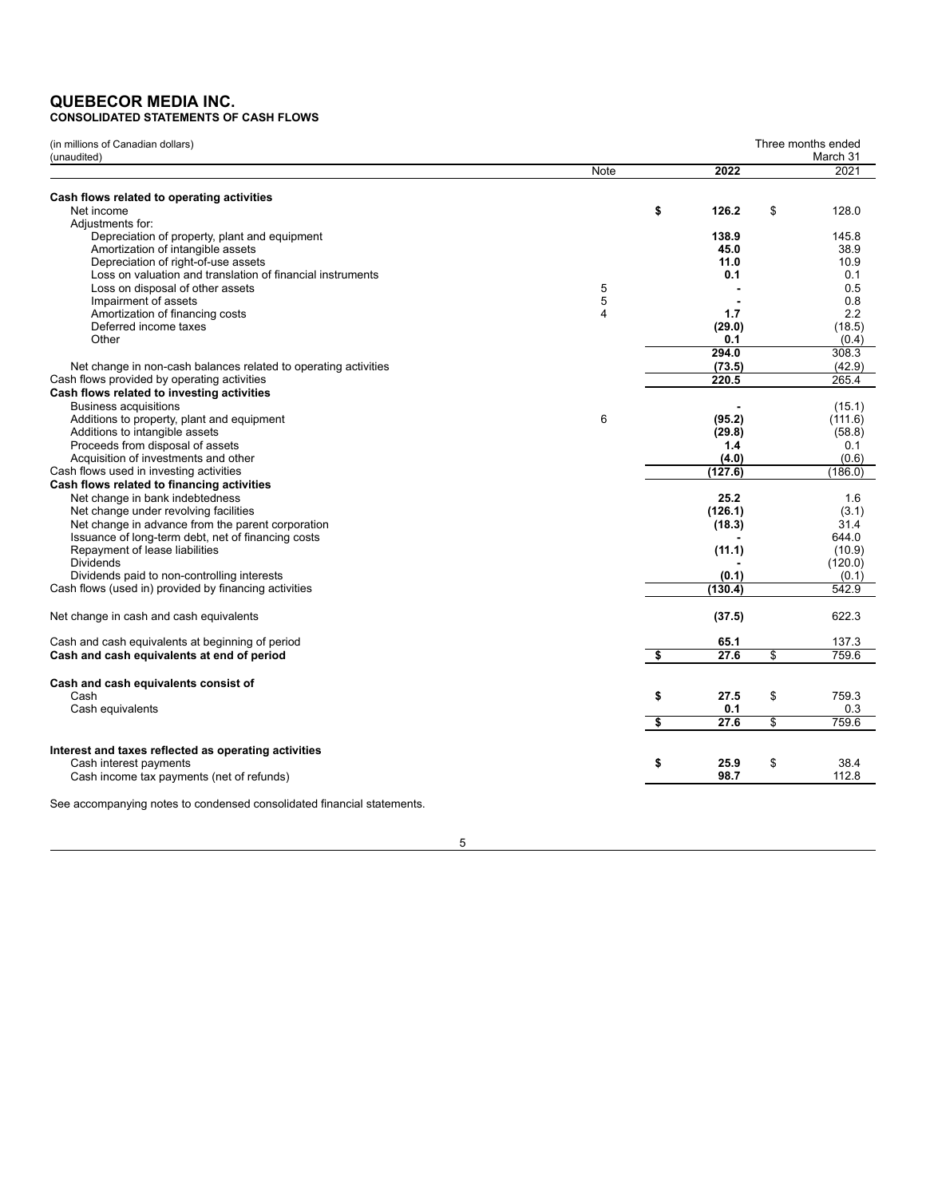# **QUEBECOR MEDIA INC. CONSOLIDATED STATEMENTS OF CASH FLOWS**

| (in millions of Canadian dollars)                                      |      |             | Three months ended<br>March 31 |
|------------------------------------------------------------------------|------|-------------|--------------------------------|
| (unaudited)                                                            | Note | 2022        | 2021                           |
|                                                                        |      |             |                                |
| Cash flows related to operating activities                             |      |             |                                |
| Net income                                                             |      | \$<br>126.2 | \$<br>128.0                    |
| Adjustments for:                                                       |      |             |                                |
| Depreciation of property, plant and equipment                          |      | 138.9       | 145.8                          |
| Amortization of intangible assets                                      |      | 45.0        | 38.9                           |
| Depreciation of right-of-use assets                                    |      | 11.0        | 10.9                           |
| Loss on valuation and translation of financial instruments             |      | 0.1         | 0.1                            |
| Loss on disposal of other assets                                       | 5    |             | 0.5                            |
| Impairment of assets                                                   | 5    |             | 0.8                            |
| Amortization of financing costs                                        | 4    | 1.7         | 2.2                            |
| Deferred income taxes                                                  |      | (29.0)      | (18.5)                         |
| Other                                                                  |      | 0.1         | (0.4)                          |
|                                                                        |      | 294.0       | 308.3                          |
| Net change in non-cash balances related to operating activities        |      | (73.5)      | (42.9)                         |
| Cash flows provided by operating activities                            |      | 220.5       | 265.4                          |
| Cash flows related to investing activities                             |      |             |                                |
| <b>Business acquisitions</b>                                           |      |             | (15.1)                         |
| Additions to property, plant and equipment                             | 6    | (95.2)      | (111.6)                        |
| Additions to intangible assets                                         |      | (29.8)      | (58.8)                         |
| Proceeds from disposal of assets                                       |      | 1.4         | 0.1                            |
| Acquisition of investments and other                                   |      | (4.0)       | (0.6)                          |
| Cash flows used in investing activities                                |      | (127.6)     | (186.0)                        |
| Cash flows related to financing activities                             |      |             |                                |
| Net change in bank indebtedness                                        |      | 25.2        | 1.6                            |
| Net change under revolving facilities                                  |      | (126.1)     | (3.1)                          |
| Net change in advance from the parent corporation                      |      | (18.3)      | 31.4                           |
| Issuance of long-term debt, net of financing costs                     |      |             | 644.0                          |
| Repayment of lease liabilities                                         |      | (11.1)      | (10.9)                         |
| <b>Dividends</b>                                                       |      |             | (120.0)                        |
| Dividends paid to non-controlling interests                            |      | (0.1)       | (0.1)                          |
| Cash flows (used in) provided by financing activities                  |      | (130.4)     | 542.9                          |
|                                                                        |      |             |                                |
| Net change in cash and cash equivalents                                |      | (37.5)      | 622.3                          |
| Cash and cash equivalents at beginning of period                       |      | 65.1        | 137.3                          |
| Cash and cash equivalents at end of period                             |      | \$<br>27.6  | \$<br>759.6                    |
|                                                                        |      |             |                                |
| Cash and cash equivalents consist of                                   |      |             |                                |
| Cash                                                                   |      | \$<br>27.5  | \$<br>759.3                    |
| Cash equivalents                                                       |      | 0.1         | 0.3                            |
|                                                                        |      | \$<br>27.6  | \$<br>759.6                    |
| Interest and taxes reflected as operating activities                   |      |             |                                |
| Cash interest payments                                                 |      | \$<br>25.9  | \$<br>38.4                     |
| Cash income tax payments (net of refunds)                              |      | 98.7        | 112.8                          |
|                                                                        |      |             |                                |
| See accompanying notes to condensed consolidated financial statements. |      |             |                                |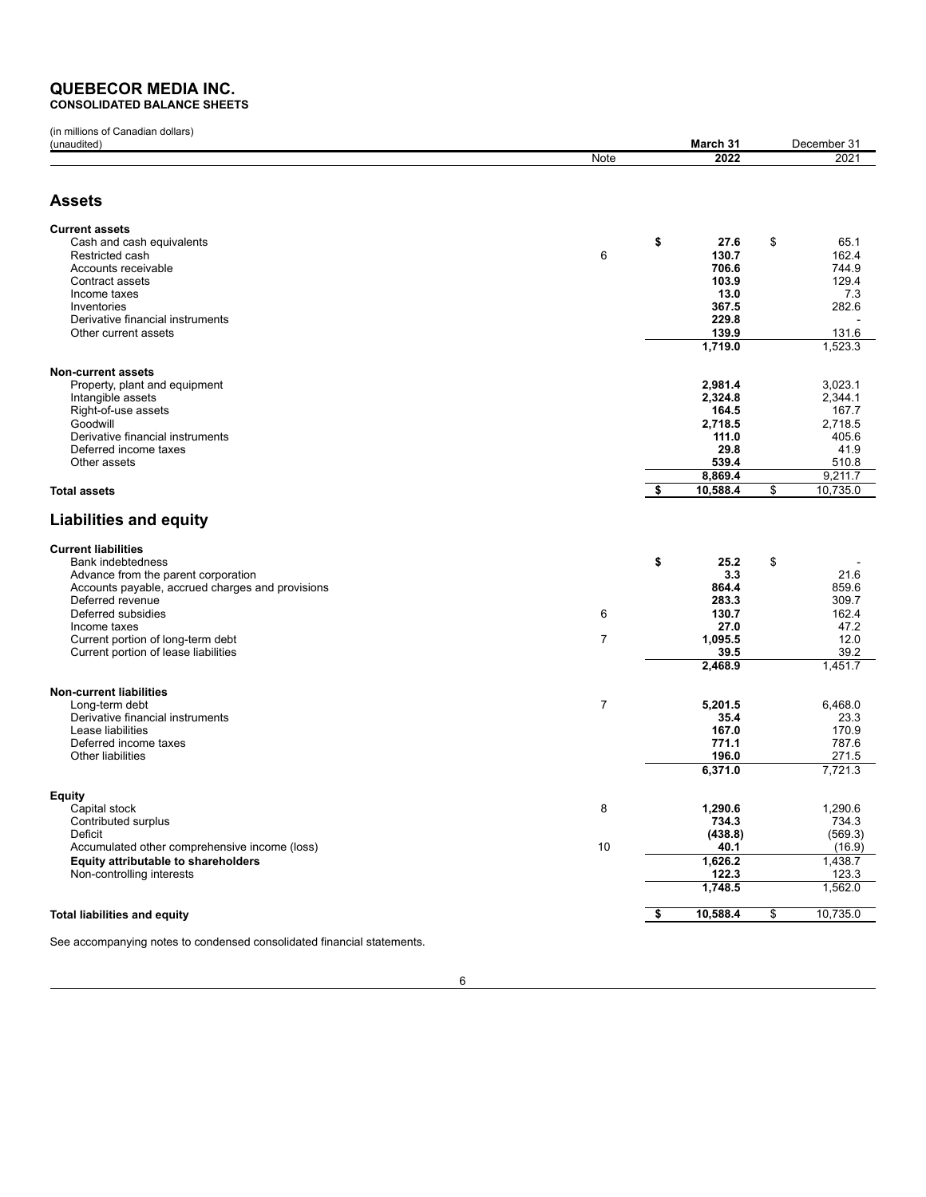# **QUEBECOR MEDIA INC. CONSOLIDATED BALANCE SHEETS**

(in millions of Canadian dollars) (unaudited) **March 31** December 31 Note **2022** 2021 **Assets Current assets** Cash and cash equivalents **\$ 27.6** \$ 65.1 Restricted cash 6 **130.7** 162.4 Accounts receivable **706.6** 744.9 Contract assets **103.9** 129.4 Income taxes **13.0** 7.3 Inventories **367.5** 282.6 Derivative financial instruments **229.8** - Other current assets **139.9** 139.9 **1,719.0** 1,523.3 **Non-current assets** Property, plant and equipment **2,981.4** 3,023.1 Intangible assets **2,324.8** 2,344.1 Right-of-use assets **164.5** 167.7 Goodwill **2,718.5** 2,718.5 Derivative financial instruments **111.0** 405.6 Deferred income taxes **29.8** 41.9 Other assets **539.4** 510.8 **8,869.4** 9,211.7 **Total assets \$ 10,588.4** \$ 10,735.0 **Liabilities and equity Current liabilities** Bank indebtedness **\$ 25.2** \$ - Advance from the parent corporation **3.3** 21.6 Accounts payable, accrued charges and provisions **864.4** 859.6 **864.4** 859.6 **864.4** 859.6 **864.4** 859.6 **864.4** 859.6 **864.4** 859.6 **864.4** 859.6 **864.4** 859.6 **864.4** 859.6 **864.4** 859.6 **864.4** 859.7 **883.3** Deferred revenue **283.3** 309.7 Deferred subsidies 6 **130.7** 162.4 Income taxes **27.0** 47.2 Current portion of long-term debt **1.005.5** 12.0<br>Current portion of long-term debt **1.000 in the set of the set of the set of the set of the set of the set of th**<br>Current portion of lease liabilities **1.000 in the set of t** Current portion of lease liabilities **39.5** 39.2 **2,468.9** 1,451.7 **Non-current liabilities** Long-term debt 6,468.0<br>
Derivative financial instruments **6,468.0**<br>
23.3 **5.4** 6,468.0 Derivative financial instruments **35.4** 23.3 Lease liabilities **167.0** 170.9 Deferred income taxes **771.1** 787.6<br>
Other liabilities **787.6** 271.5 Other liabilities **196.0** 271.5 **6,371.0** 7,721.3 **Equity** Capital stock 8 **1,290.6** 1,290.6 Contributed surplus **734.3** 734.3 Deficit **(438.8)** (569.3) Accumulated other comprehensive income (loss) 10 **40.1** (16.9) **Equity attributable to shareholders 1,626.2** 1,438.7<br>Non-controlling interests 123.3 123.3 123.3 Non-controlling interests **1,748.5** 1,562.0 **Total liabilities and equity \$ 10,588.4** \$ 10,735.0

See accompanying notes to condensed consolidated financial statements.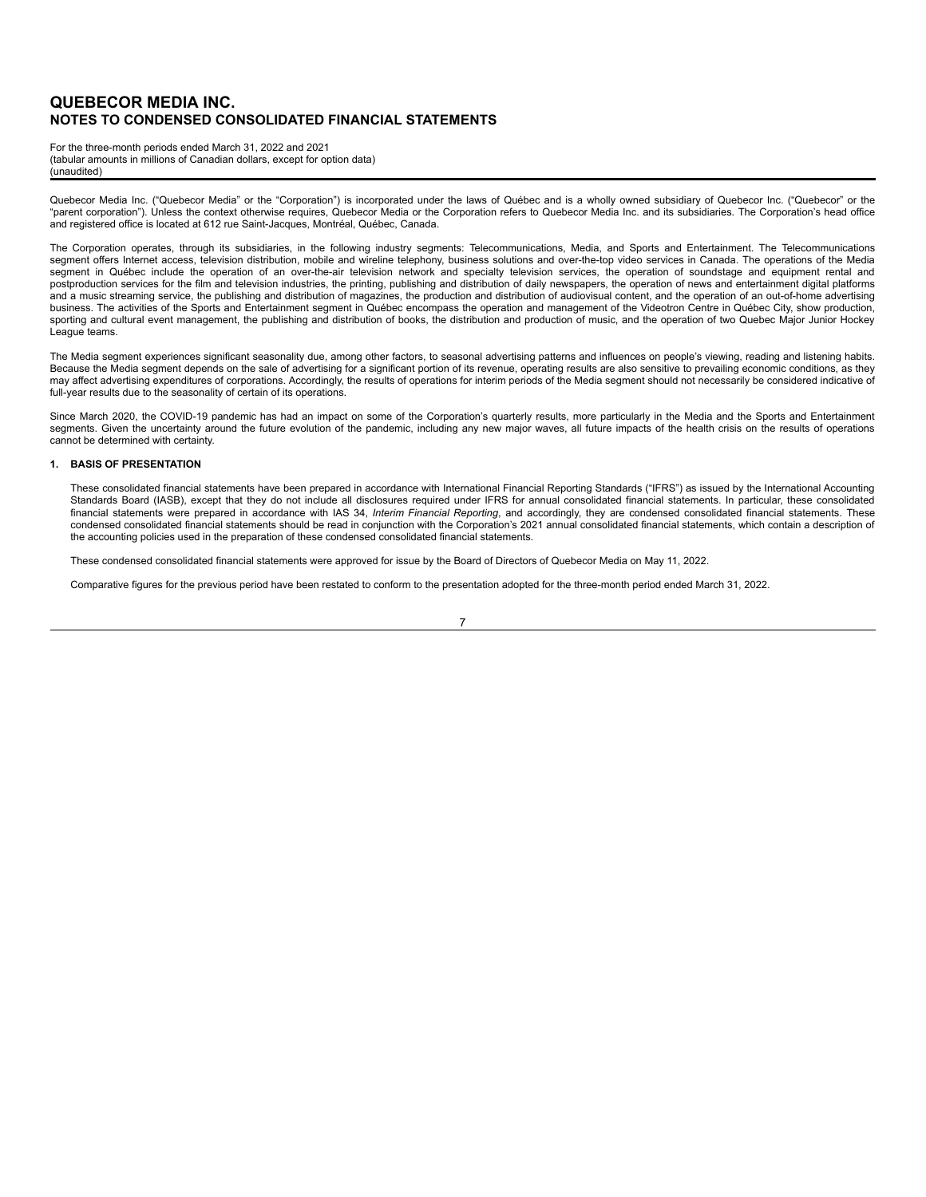For the three-month periods ended March 31, 2022 and 2021 (tabular amounts in millions of Canadian dollars, except for option data) (unaudited)

Quebecor Media Inc. ("Quebecor Media" or the "Corporation") is incorporated under the laws of Québec and is a wholly owned subsidiary of Quebecor Inc. ("Quebecor" or the "parent corporation"). Unless the context otherwise requires, Quebecor Media or the Corporation refers to Quebecor Media Inc. and its subsidiaries. The Corporation's head office and registered office is located at 612 rue Saint-Jacques, Montréal, Québec, Canada.

The Corporation operates, through its subsidiaries, in the following industry segments: Telecommunications, Media, and Sports and Entertainment. The Telecommunications segment offers Internet access, television distribution, mobile and wireline telephony, business solutions and over-the-top video services in Canada. The operations of the Media segment in Québec include the operation of an over-the-air television network and specialty television services, the operation of soundstage and equipment rental and postproduction services for the film and television industries, the printing, publishing and distribution of daily newspapers, the operation of news and entertainment digital platforms and a music streaming service, the publishing and distribution of magazines, the production and distribution of audiovisual content, and the operation of an out-of-home advertising<br>business. The activities of the Sports an sporting and cultural event management, the publishing and distribution of books, the distribution and production of music, and the operation of two Quebec Major Junior Hockey League teams.

The Media segment experiences significant seasonality due, among other factors, to seasonal advertising patterns and influences on people's viewing, reading and listening habits. Because the Media segment depends on the sale of advertising for a significant portion of its revenue, operating results are also sensitive to prevailing economic conditions, as they may affect advertising expenditures of corporations. Accordingly, the results of operations for interim periods of the Media segment should not necessarily be considered indicative of full-year results due to the seasonality of certain of its operations.

Since March 2020, the COVID-19 pandemic has had an impact on some of the Corporation's quarterly results, more particularly in the Media and the Sports and Entertainment segments. Given the uncertainty around the future evolution of the pandemic, including any new major waves, all future impacts of the health crisis on the results of operations cannot be determined with certainty.

#### **1. BASIS OF PRESENTATION**

These consolidated financial statements have been prepared in accordance with International Financial Reporting Standards ("IFRS") as issued by the International Accounting Standards Board (IASB), except that they do not include all disclosures required under IFRS for annual consolidated financial statements. In particular, these consolidated financial statements were prepared in accordance with IAS 34, *Interim Financial Reporting*, and accordingly, they are condensed consolidated financial statements. These<br>condensed consolidated financial statements should b the accounting policies used in the preparation of these condensed consolidated financial statements.

These condensed consolidated financial statements were approved for issue by the Board of Directors of Quebecor Media on May 11, 2022.

Comparative figures for the previous period have been restated to conform to the presentation adopted for the three-month period ended March 31, 2022.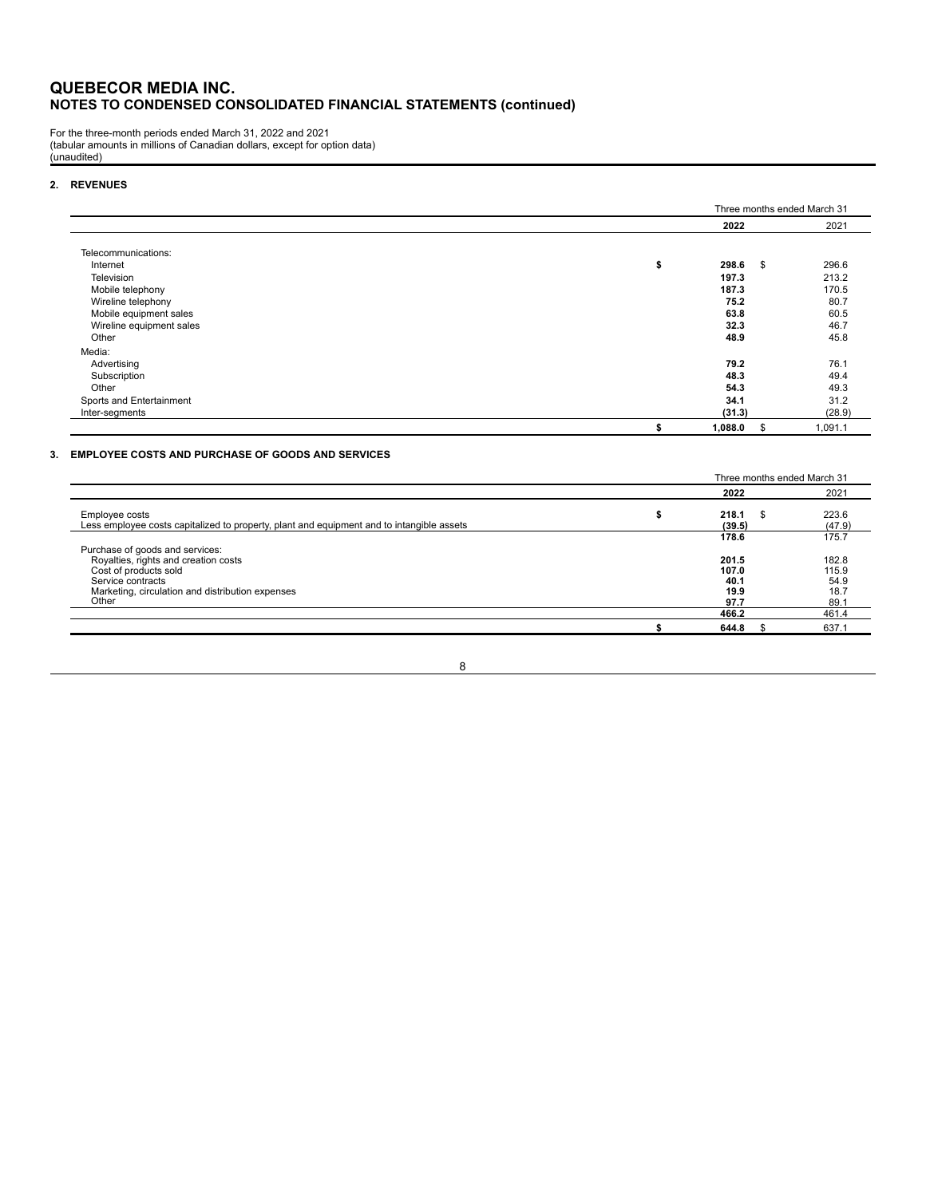For the three-month periods ended March 31, 2022 and 2021 (tabular amounts in millions of Canadian dollars, except for option data) (unaudited)

#### **2. REVENUES**

|                          |             |      | Three months ended March 31 |
|--------------------------|-------------|------|-----------------------------|
|                          | 2022        |      | 2021                        |
| Telecommunications:      |             |      |                             |
| Internet                 | \$<br>298.6 | - \$ | 296.6                       |
| Television               | 197.3       |      | 213.2                       |
|                          | 187.3       |      | 170.5                       |
| Mobile telephony         |             |      |                             |
| Wireline telephony       | 75.2        |      | 80.7                        |
| Mobile equipment sales   | 63.8        |      | 60.5                        |
| Wireline equipment sales | 32.3        |      | 46.7                        |
| Other                    | 48.9        |      | 45.8                        |
| Media:                   |             |      |                             |
| Advertising              | 79.2        |      | 76.1                        |
| Subscription             | 48.3        |      | 49.4                        |
| Other                    | 54.3        |      | 49.3                        |
| Sports and Entertainment | 34.1        |      | 31.2                        |
| Inter-segments           | (31.3)      |      | (28.9)                      |
|                          | 1,088.0     | Ŝ.   | 1,091.1                     |

#### **3. EMPLOYEE COSTS AND PURCHASE OF GOODS AND SERVICES**

|                                                                                                             |                 |      | Three months ended March 31 |
|-------------------------------------------------------------------------------------------------------------|-----------------|------|-----------------------------|
|                                                                                                             | 2022            |      | 2021                        |
| Employee costs<br>Less employee costs capitalized to property, plant and equipment and to intangible assets | 218.1<br>(39.5) | - \$ | 223.6<br>(47.9)             |
|                                                                                                             | 178.6           |      | 175.7                       |
| Purchase of goods and services:<br>Royalties, rights and creation costs                                     | 201.5           |      | 182.8                       |
| Cost of products sold                                                                                       | 107.0           |      | 115.9                       |
| Service contracts                                                                                           | 40.1            |      | 54.9                        |
| Marketing, circulation and distribution expenses                                                            | 19.9            |      | 18.7                        |
| Other                                                                                                       | 97.7            |      | 89.1                        |
|                                                                                                             | 466.2           |      | 461.4                       |
|                                                                                                             | 644.8           |      | 637.1                       |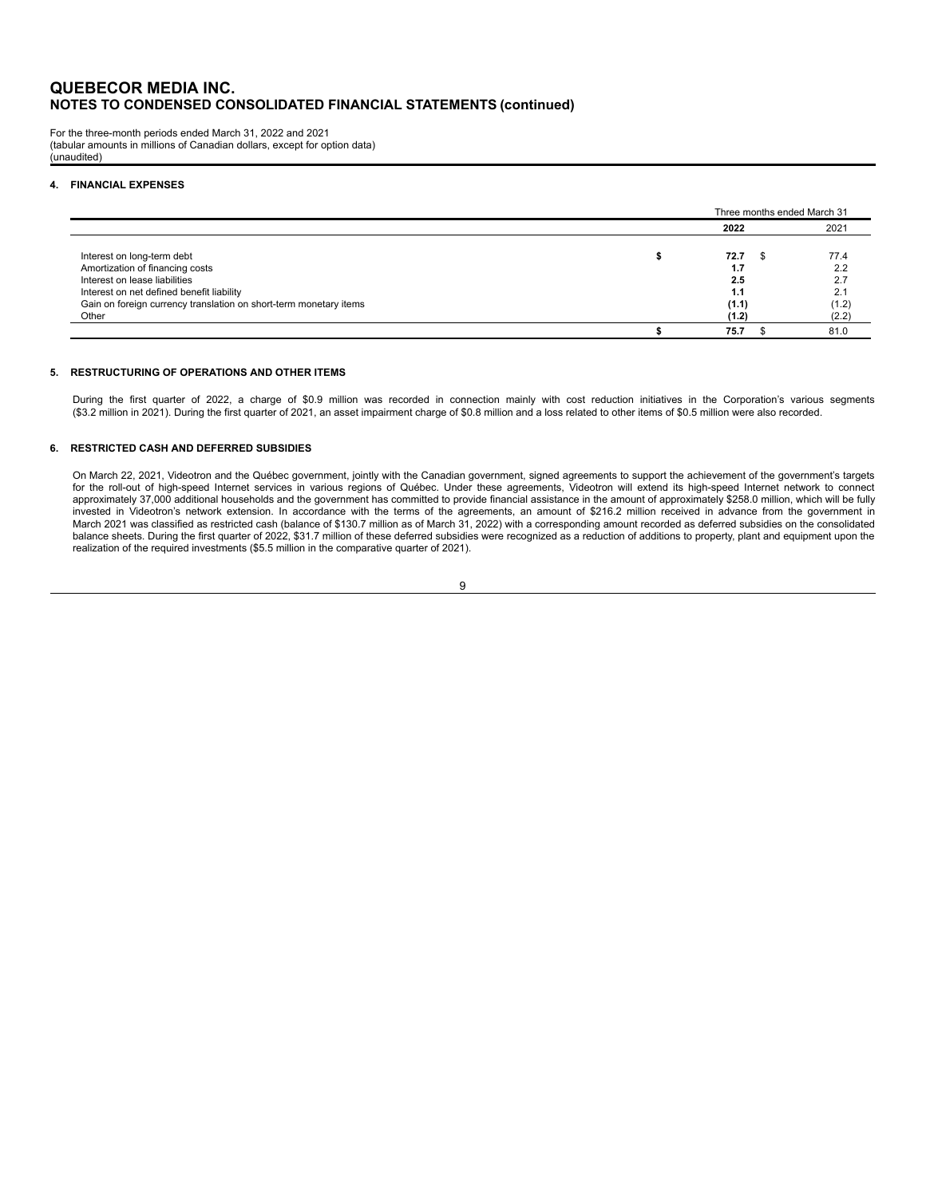For the three-month periods ended March 31, 2022 and 2021 (tabular amounts in millions of Canadian dollars, except for option data) (unaudited)

#### **4. FINANCIAL EXPENSES**

|                                                                   | Three months ended March 31 |       |
|-------------------------------------------------------------------|-----------------------------|-------|
|                                                                   | 2022                        | 2021  |
| Interest on long-term debt                                        | 72.7                        | 77.4  |
| Amortization of financing costs                                   | 1.7                         | 2.2   |
| Interest on lease liabilities                                     | 2.5                         | 2.7   |
| Interest on net defined benefit liability                         | 1.1                         | 2.1   |
| Gain on foreign currency translation on short-term monetary items | (1.1)                       | (1.2) |
| Other                                                             | (1.2)                       | (2.2) |
|                                                                   | 75.7                        | 81.0  |

#### **5. RESTRUCTURING OF OPERATIONS AND OTHER ITEMS**

During the first quarter of 2022, a charge of \$0.9 million was recorded in connection mainly with cost reduction initiatives in the Corporation's various segments (\$3.2 million in 2021). During the first quarter of 2021, an asset impairment charge of \$0.8 million and a loss related to other items of \$0.5 million were also recorded.

#### **6. RESTRICTED CASH AND DEFERRED SUBSIDIES**

On March 22, 2021, Videotron and the Québec government, jointly with the Canadian government, signed agreements to support the achievement of the government's targets for the roll-out of high-speed Internet services in various regions of Québec. Under these agreements, Videotron will extend its high-speed Internet network to connect<br>approximately 37,000 additional households and the gov invested in Videotron's network extension. In accordance with the terms of the agreements, an amount of \$216.2 million received in advance from the government in<br>March 2021 was classified as restricted cash (balance of \$13 balance sheets. During the first quarter of 2022, \$31.7 million of these deferred subsidies were recognized as a reduction of additions to property, plant and equipment upon the realization of the required investments (\$5.5 million in the comparative quarter of 2021).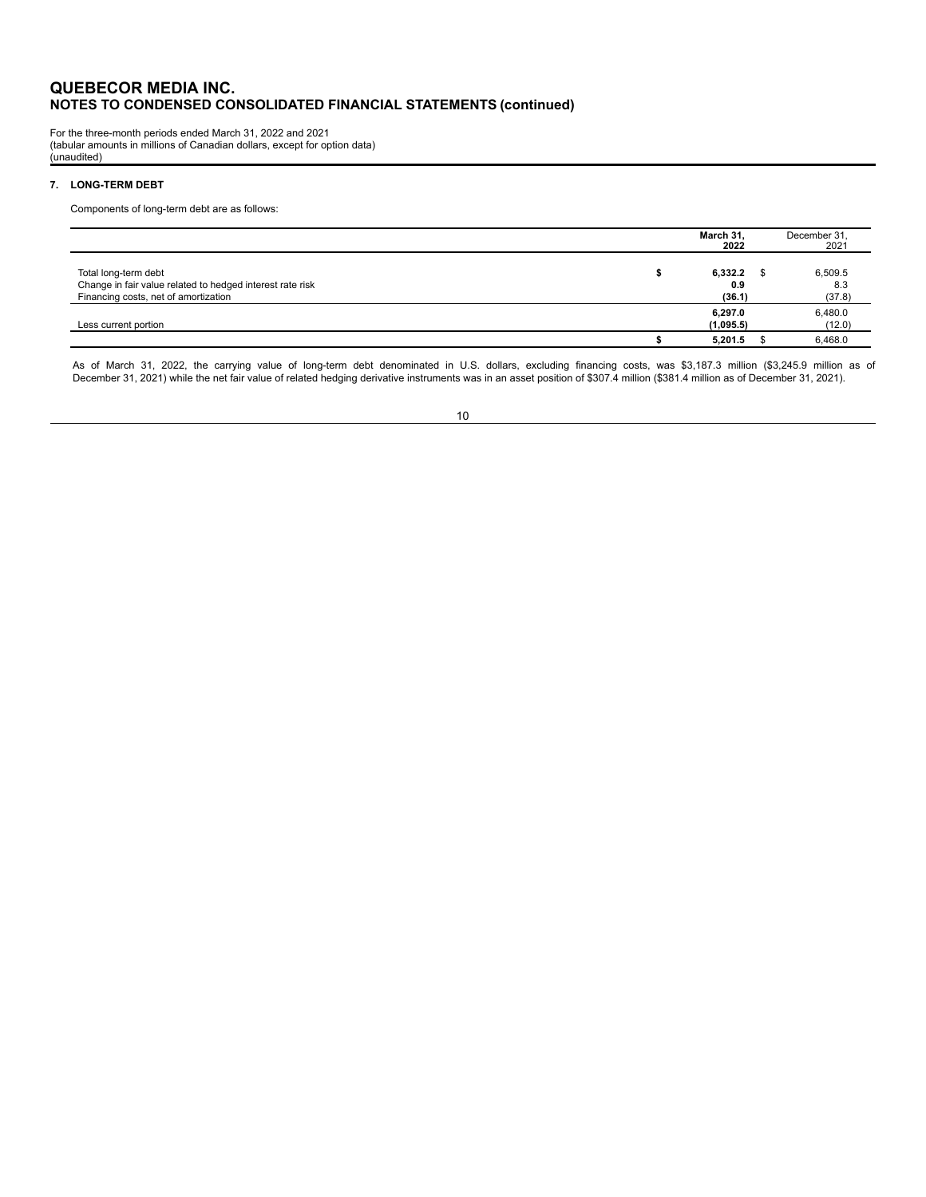For the three-month periods ended March 31, 2022 and 2021 (tabular amounts in millions of Canadian dollars, except for option data) (unaudited)

## **7. LONG-TERM DEBT**

Components of long-term debt are as follows:

|                                                                                                                           | March 31,<br>2022        |      | December 31,<br>2021     |
|---------------------------------------------------------------------------------------------------------------------------|--------------------------|------|--------------------------|
| Total long-term debt<br>Change in fair value related to hedged interest rate risk<br>Financing costs, net of amortization | 6,332.2<br>0.9<br>(36.1) | - \$ | 6,509.5<br>8.3<br>(37.8) |
| Less current portion                                                                                                      | 6,297.0<br>(1,095.5)     |      | 6,480.0<br>(12.0)        |
|                                                                                                                           | 5,201.5                  |      | 6,468.0                  |

As of March 31, 2022, the carrying value of long-term debt denominated in U.S. dollars, excluding financing costs, was \$3,187.3 million (\$3,245.9 million as of<br>December 31, 2021) while the net fair v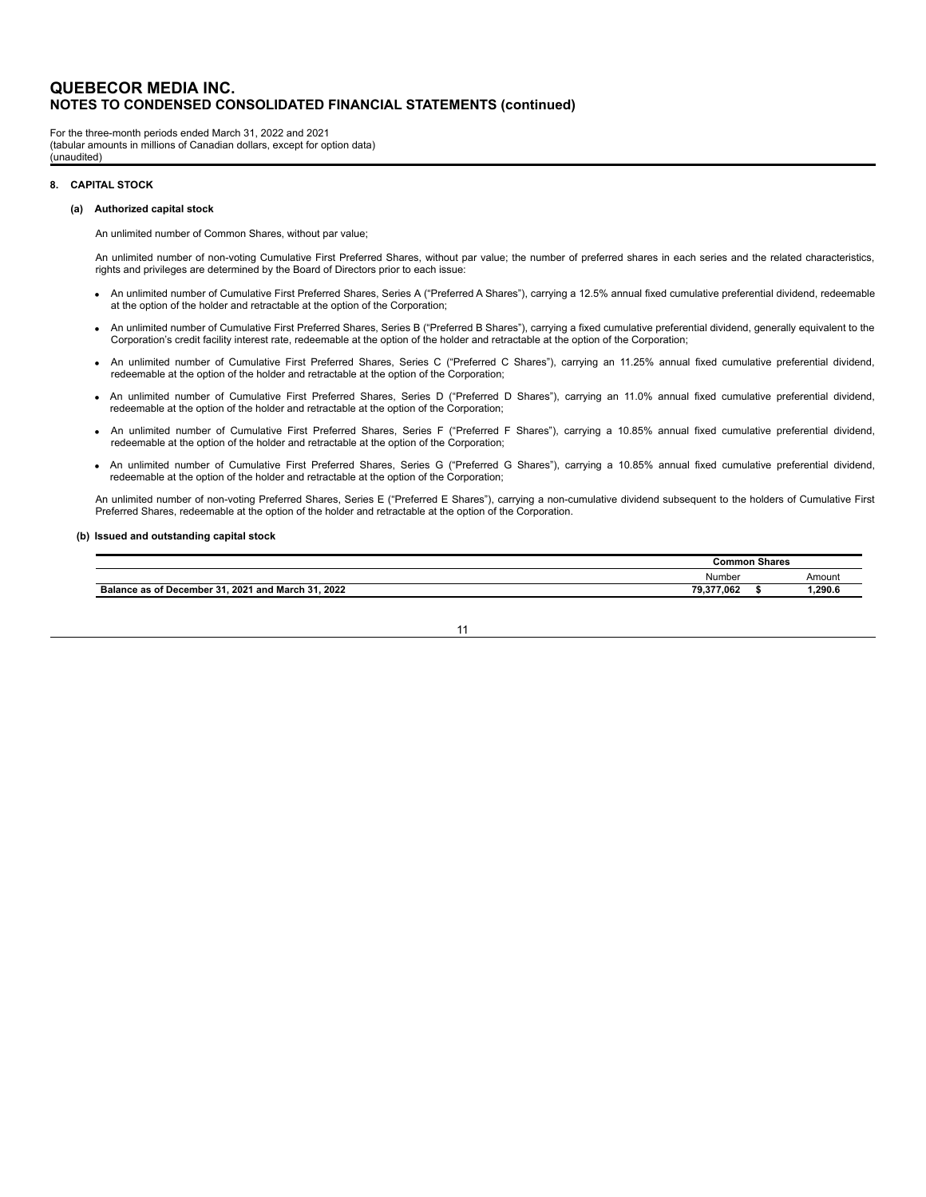For the three-month periods ended March 31, 2022 and 2021 (tabular amounts in millions of Canadian dollars, except for option data) (unaudited)

#### **8. CAPITAL STOCK**

#### **(a) Authorized capital stock**

An unlimited number of Common Shares, without par value;

An unlimited number of non-voting Cumulative First Preferred Shares, without par value; the number of preferred shares in each series and the related characteristics, rights and privileges are determined by the Board of Directors prior to each issue:

- · An unlimited number of Cumulative First Preferred Shares, Series A ("Preferred A Shares"), carrying a 12.5% annual fixed cumulative preferential dividend, redeemable at the option of the holder and retractable at the option of the Corporation;
- · An unlimited number of Cumulative First Preferred Shares, Series B ("Preferred B Shares"), carrying a fixed cumulative preferential dividend, generally equivalent to the Corporation's credit facility interest rate, redeemable at the option of the holder and retractable at the option of the Corporation;
- · An unlimited number of Cumulative First Preferred Shares, Series C ("Preferred C Shares"), carrying an 11.25% annual fixed cumulative preferential dividend, redeemable at the option of the holder and retractable at the option of the Corporation;
- · An unlimited number of Cumulative First Preferred Shares, Series D ("Preferred D Shares"), carrying an 11.0% annual fixed cumulative preferential dividend, redeemable at the option of the holder and retractable at the option of the Corporation;
- · An unlimited number of Cumulative First Preferred Shares, Series F ("Preferred F Shares"), carrying a 10.85% annual fixed cumulative preferential dividend, redeemable at the option of the holder and retractable at the option of the Corporation;
- · An unlimited number of Cumulative First Preferred Shares, Series G ("Preferred G Shares"), carrying a 10.85% annual fixed cumulative preferential dividend, redeemable at the option of the holder and retractable at the option of the Corporation;

An unlimited number of non-voting Preferred Shares, Series E ("Preferred E Shares"), carrying a non-cumulative dividend subsequent to the holders of Cumulative First Preferred Shares, redeemable at the option of the holder and retractable at the option of the Corporation.

#### **(b) Issued and outstanding capital stock**

|                                                                | Common     | Shares |        |
|----------------------------------------------------------------|------------|--------|--------|
|                                                                | Number     |        | Amount |
| . 2021 and March 31, 2022<br><b>Balance as of December 31.</b> | 79.377.062 |        | .290.6 |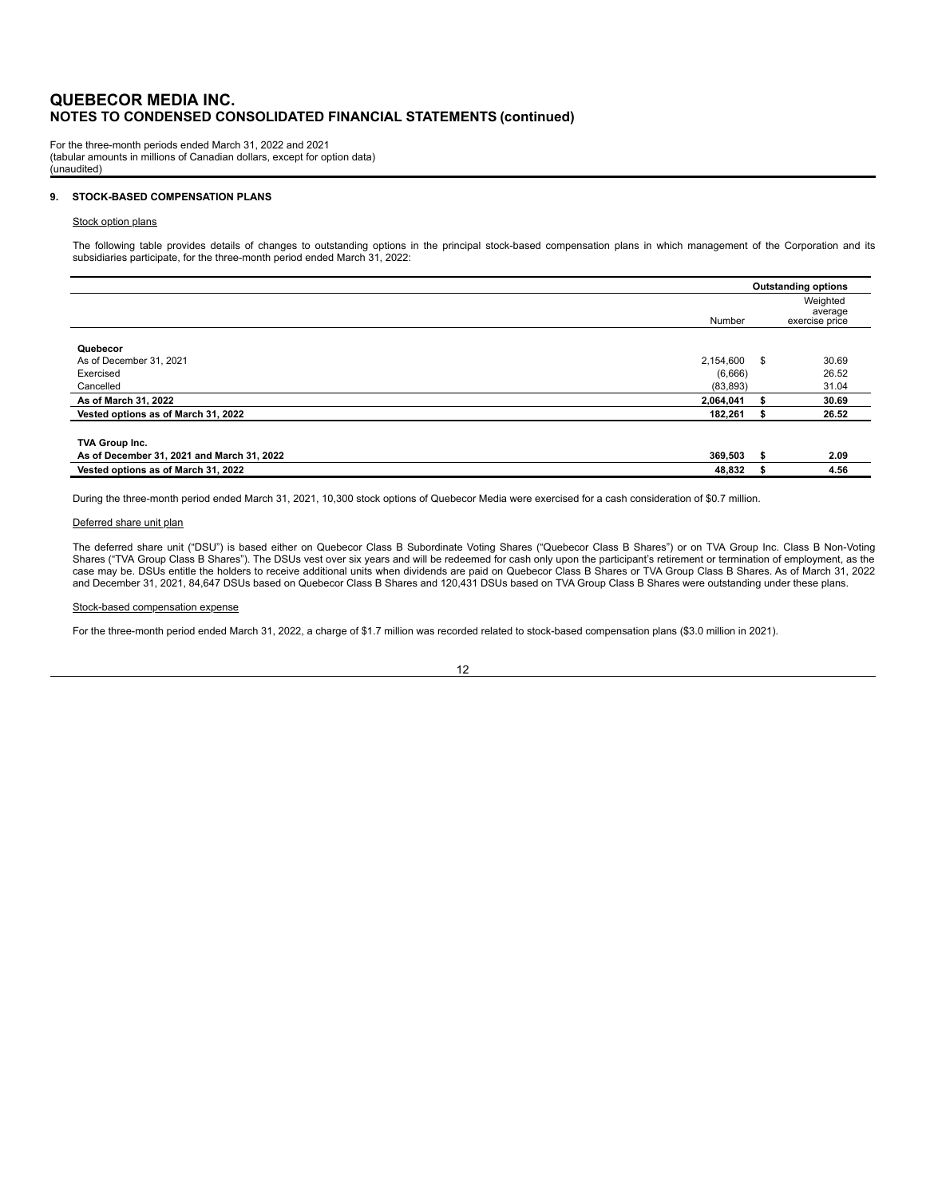For the three-month periods ended March 31, 2022 and 2021 (tabular amounts in millions of Canadian dollars, except for option data) (unaudited)

#### **9. STOCK-BASED COMPENSATION PLANS**

#### Stock option plans

The following table provides details of changes to outstanding options in the principal stock-based compensation plans in which management of the Corporation and its<br>subsidiaries participate, for the three-month period end

|                                            |           |      | <b>Outstanding options</b>            |
|--------------------------------------------|-----------|------|---------------------------------------|
|                                            | Number    |      | Weighted<br>average<br>exercise price |
| Quebecor                                   |           |      |                                       |
| As of December 31, 2021                    | 2.154.600 | - \$ | 30.69                                 |
| Exercised                                  | (6,666)   |      | 26.52                                 |
| Cancelled                                  | (83, 893) |      | 31.04                                 |
| As of March 31, 2022                       | 2,064,041 |      | 30.69                                 |
| Vested options as of March 31, 2022        | 182,261   |      | 26.52                                 |
|                                            |           |      |                                       |
| TVA Group Inc.                             |           |      |                                       |
| As of December 31, 2021 and March 31, 2022 | 369,503   | - 56 | 2.09                                  |
| Vested options as of March 31, 2022        | 48,832    |      | 4.56                                  |

During the three-month period ended March 31, 2021, 10,300 stock options of Quebecor Media were exercised for a cash consideration of \$0.7 million.

#### Deferred share unit plan

The deferred share unit ("DSU") is based either on Quebecor Class B Subordinate Voting Shares ("Quebecor Class B Shares") or on TVA Group Inc. Class B Non-Voting Shares ("TVA Group Class B Shares"). The DSUs vest over six years and will be redeemed for cash only upon the participant's retirement or termination of employment, as the case may be. DSUs entitle the holders to receive additional units when dividends are paid on Quebecor Class B Shares or TVA Group Class B Shares. As of March 31, 2022 and December 31, 2021, 84,647 DSUs based on Quebecor Class B Shares and 120,431 DSUs based on TVA Group Class B Shares were outstanding under these plans.

#### Stock-based compensation expense

For the three-month period ended March 31, 2022, a charge of \$1.7 million was recorded related to stock-based compensation plans (\$3.0 million in 2021).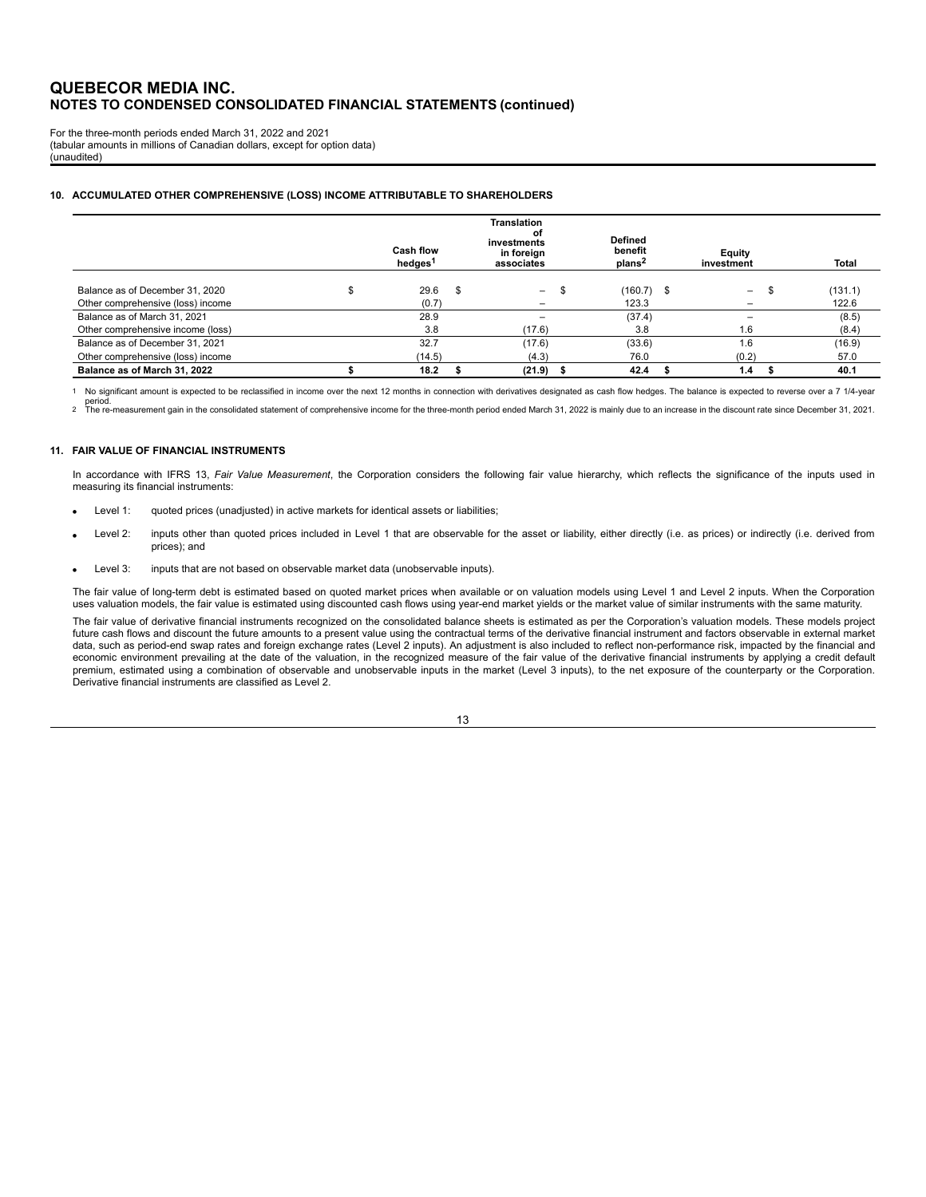For the three-month periods ended March 31, 2022 and 2021 (tabular amounts in millions of Canadian dollars, except for option data) (unaudited)

#### **10. ACCUMULATED OTHER COMPREHENSIVE (LOSS) INCOME ATTRIBUTABLE TO SHAREHOLDERS**

|                                   | <b>Cash flow</b><br>hedges <sup>1</sup> |     | <b>Translation</b><br>οf<br>investments<br>in foreign<br>associates | <b>Defined</b><br>benefit<br>plans <sup>2</sup> | Equity<br>investment             | Total   |
|-----------------------------------|-----------------------------------------|-----|---------------------------------------------------------------------|-------------------------------------------------|----------------------------------|---------|
| Balance as of December 31, 2020   | 29.6                                    | \$. | $\overline{\phantom{0}}$                                            | $(160.7)$ \$                                    | - 35<br>$\overline{\phantom{0}}$ | (131.1) |
| Other comprehensive (loss) income | (0.7)                                   |     | -                                                                   | 123.3                                           |                                  | 122.6   |
| Balance as of March 31, 2021      | 28.9                                    |     |                                                                     | (37.4)                                          |                                  | (8.5)   |
| Other comprehensive income (loss) | 3.8                                     |     | (17.6)                                                              | 3.8                                             | 1.6                              | (8.4)   |
| Balance as of December 31, 2021   | 32.7                                    |     | (17.6)                                                              | (33.6)                                          | 1.6                              | (16.9)  |
| Other comprehensive (loss) income | (14.5)                                  |     | (4.3)                                                               | 76.0                                            | (0.2)                            | 57.0    |
| Balance as of March 31, 2022      | 18.2                                    |     | (21.9)                                                              | 42.4                                            | 1.4                              | 40.1    |

1 No significant amount is expected to be reclassified in income over the next 12 months in connection with derivatives designated as cash flow hedges. The balance is expected to reverse over a 7 1/4-year period.

<sup>2</sup> The re-measurement gain in the consolidated statement of comprehensive income for the three-month period ended March 31, 2022 is mainly due to an increase in the discount rate since December 31, 2021.

#### **11. FAIR VALUE OF FINANCIAL INSTRUMENTS**

In accordance with IFRS 13, *Fair Value Measurement*, the Corporation considers the following fair value hierarchy, which reflects the significance of the inputs used in measuring its financial instruments:

- Level 1: guoted prices (unadjusted) in active markets for identical assets or liabilities;
- Level 2: inputs other than quoted prices included in Level 1 that are observable for the asset or liability, either directly (i.e. as prices) or indirectly (i.e. derived from prices); and
- Level 3: inputs that are not based on observable market data (unobservable inputs).

The fair value of long-term debt is estimated based on quoted market prices when available or on valuation models using Level 1 and Level 2 inputs. When the Corporation uses valuation models, the fair value is estimated using discounted cash flows using year-end market yields or the market value of similar instruments with the same maturity.

The fair value of derivative financial instruments recognized on the consolidated balance sheets is estimated as per the Corporation's valuation models. These models project future cash flows and discount the future amounts to a present value using the contractual terms of the derivative financial instrument and factors observable in external market data, such as period-end swap rates and foreign exchange rates (Level 2 inputs). An adjustment is also included to reflect non-performance risk, impacted by the financial and economic environment prevailing at the date of the valuation, in the recognized measure of the fair value of the derivative financial instruments by applying a credit default premium, estimated using a combination of observable and unobservable inputs in the market (Level 3 inputs), to the net exposure of the counterparty or the Corporation. Derivative financial instruments are classified as Level 2.

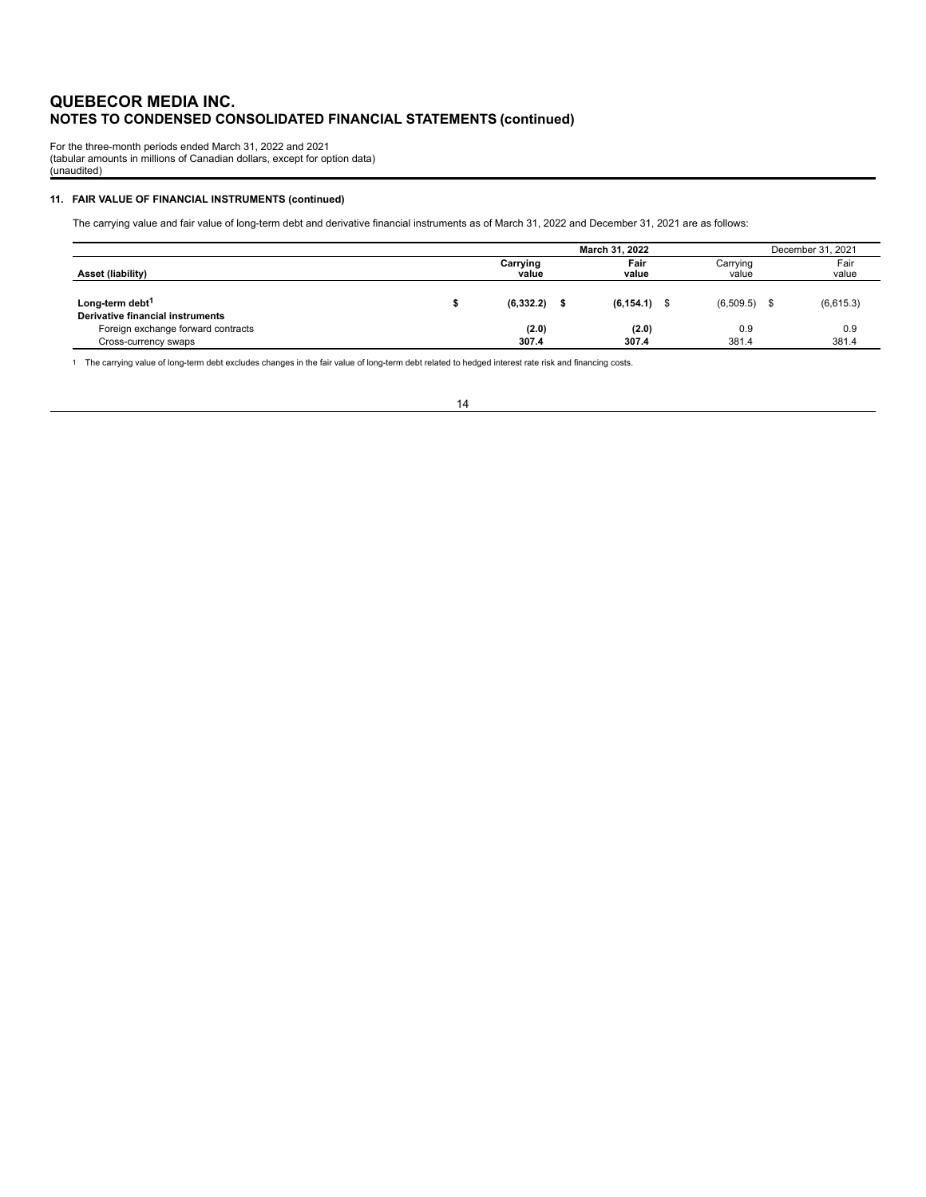For the three-month periods ended March 31, 2022 and 2021 (tabular amounts in millions of Canadian dollars, except for option data) (unaudited)

#### **11. FAIR VALUE OF FINANCIAL INSTRUMENTS (continued)**

The carrying value and fair value of long-term debt and derivative financial instruments as of March 31, 2022 and December 31, 2021 are as follows:

|                                                                        | March 31, 2022    |  |                 |  |                   | December 31, 2021 |               |  |
|------------------------------------------------------------------------|-------------------|--|-----------------|--|-------------------|-------------------|---------------|--|
| Asset (liability)                                                      | Carrying<br>value |  | Fair<br>value   |  | Carrying<br>value |                   | Fair<br>value |  |
| Long-term debt <sup>1</sup><br><b>Derivative financial instruments</b> | (6, 332.2)        |  | $(6, 154.1)$ \$ |  | $(6,509.5)$ \$    |                   | (6,615.3)     |  |
| Foreign exchange forward contracts<br>Cross-currency swaps             | (2.0)<br>307.4    |  | (2.0)<br>307.4  |  | 0.9<br>381.4      |                   | 0.9<br>381.4  |  |

1 The carrying value of long-term debt excludes changes in the fair value of long-term debt related to hedged interest rate risk and financing costs.